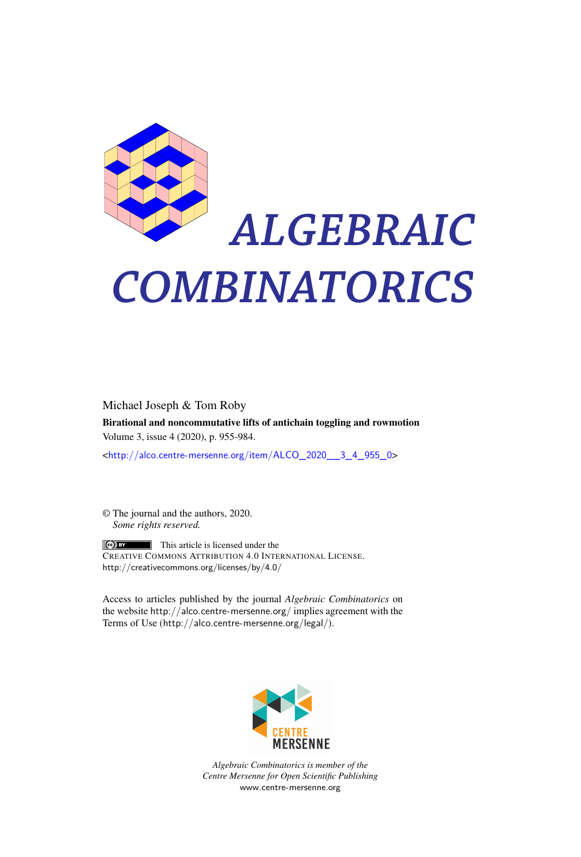

# *ALGEBRAIC COMBINATORICS*

Michael Joseph & Tom Roby Birational and noncommutative lifts of antichain toggling and rowmotion Volume 3, issue 4 (2020), p. 955-984.

<[http://alco.centre-mersenne.org/item/ALCO\\_2020\\_\\_3\\_4\\_955\\_0](http://alco.centre-mersenne.org/item/ALCO_2020__3_4_955_0)>

© The journal and the authors, 2020. *Some rights reserved.*

**C** EX This article is licensed under the CREATIVE COMMONS ATTRIBUTION 4.0 INTERNATIONAL LICENSE. <http://creativecommons.org/licenses/by/4.0/>

Access to articles published by the journal *Algebraic Combinatorics* on the website <http://alco.centre-mersenne.org/> implies agreement with the Terms of Use (<http://alco.centre-mersenne.org/legal/>).



*Algebraic Combinatorics is member of the Centre Mersenne for Open Scientific Publishing* <www.centre-mersenne.org>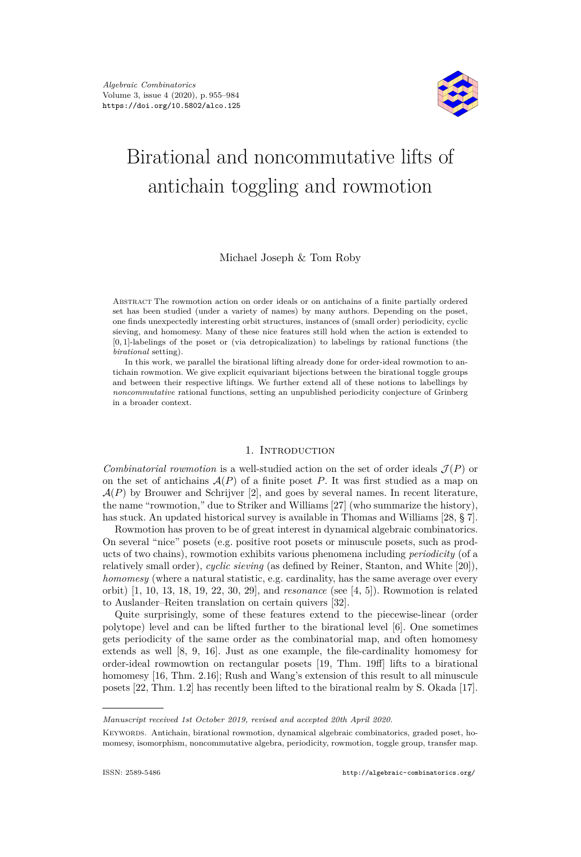

# Birational and noncommutative lifts of antichain toggling and rowmotion

# Michael Joseph & Tom Roby

ABSTRACT The rowmotion action on order ideals or on antichains of a finite partially ordered set has been studied (under a variety of names) by many authors. Depending on the poset, one finds unexpectedly interesting orbit structures, instances of (small order) periodicity, cyclic sieving, and homomesy. Many of these nice features still hold when the action is extended to [0*,* 1]-labelings of the poset or (via detropicalization) to labelings by rational functions (the *birational* setting).

In this work, we parallel the birational lifting already done for order-ideal rowmotion to antichain rowmotion. We give explicit equivariant bijections between the birational toggle groups and between their respective liftings. We further extend all of these notions to labellings by *noncommutative* rational functions, setting an unpublished periodicity conjecture of Grinberg in a broader context.

### 1. Introduction

*Combinatorial rowmotion* is a well-studied action on the set of order ideals  $\mathcal{J}(P)$  or on the set of antichains  $A(P)$  of a finite poset P. It was first studied as a map on  $\mathcal{A}(P)$  by Brouwer and Schrijver [\[2\]](#page-29-0), and goes by several names. In recent literature, the name "rowmotion," due to Striker and Williams [\[27\]](#page-30-0) (who summarize the history), has stuck. An updated historical survey is available in Thomas and Williams [\[28,](#page-30-1) § 7].

Rowmotion has proven to be of great interest in dynamical algebraic combinatorics. On several "nice" posets (e.g. positive root posets or minuscule posets, such as products of two chains), rowmotion exhibits various phenomena including *periodicity* (of a relatively small order), *cyclic sieving* (as defined by Reiner, Stanton, and White [\[20\]](#page-30-2)), *homomesy* (where a natural statistic, e.g. cardinality, has the same average over every orbit) [\[1,](#page-29-1) [10,](#page-30-3) [13,](#page-30-4) [18,](#page-30-5) [19,](#page-30-6) [22,](#page-30-7) [30,](#page-30-8) [29\]](#page-30-9), and *resonance* (see [\[4,](#page-29-2) [5\]](#page-29-3)). Rowmotion is related to Auslander–Reiten translation on certain quivers [\[32\]](#page-30-10).

Quite surprisingly, some of these features extend to the piecewise-linear (order polytope) level and can be lifted further to the birational level [\[6\]](#page-29-4). One sometimes gets periodicity of the same order as the combinatorial map, and often homomesy extends as well [\[8,](#page-30-11) [9,](#page-30-12) [16\]](#page-30-13). Just as one example, the file-cardinality homomesy for order-ideal rowmowtion on rectangular posets [\[19,](#page-30-6) Thm. 19ff] lifts to a birational homomesy [\[16,](#page-30-13) Thm. 2.16]; Rush and Wang's extension of this result to all minuscule posets [\[22,](#page-30-7) Thm. 1.2] has recently been lifted to the birational realm by S. Okada [\[17\]](#page-30-14).

*Manuscript received 1st October 2019, revised and accepted 20th April 2020.*

Keywords. Antichain, birational rowmotion, dynamical algebraic combinatorics, graded poset, homomesy, isomorphism, noncommutative algebra, periodicity, rowmotion, toggle group, transfer map.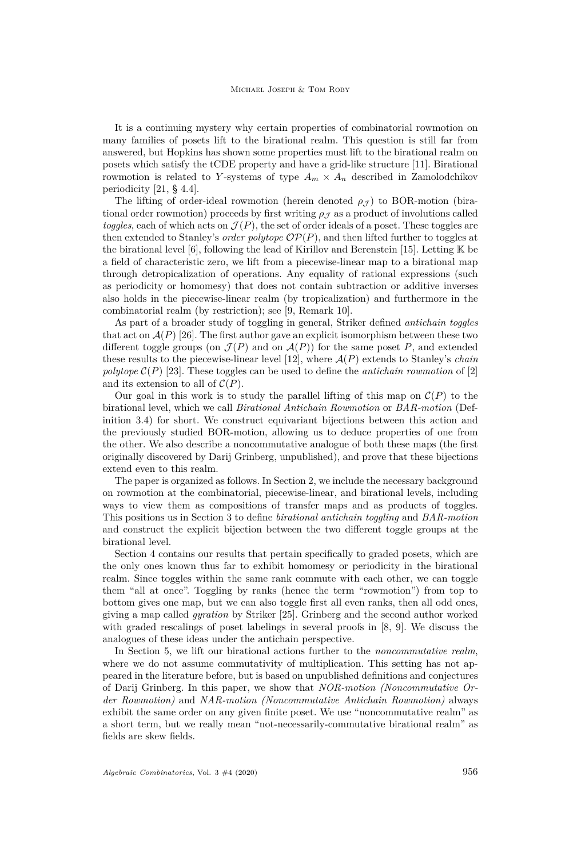It is a continuing mystery why certain properties of combinatorial rowmotion on many families of posets lift to the birational realm. This question is still far from answered, but Hopkins has shown some properties must lift to the birational realm on posets which satisfy the tCDE property and have a grid-like structure [\[11\]](#page-30-15). Birational rowmotion is related to *Y*-systems of type  $A_m \times A_n$  described in Zamolodchikov periodicity [\[21,](#page-30-16) § 4.4].

The lifting of order-ideal rowmotion (herein denoted  $\rho_{J}$ ) to BOR-motion (birational order rowmotion) proceeds by first writing  $\rho<sub>J</sub>$  as a product of involutions called *toggles*, each of which acts on  $\mathcal{J}(P)$ , the set of order ideals of a poset. These toggles are then extended to Stanley's *order polytope*  $OP(P)$ , and then lifted further to toggles at the birational level  $[6]$ , following the lead of Kirillov and Berenstein [\[15\]](#page-30-17). Letting  $\mathbb K$  be a field of characteristic zero, we lift from a piecewise-linear map to a birational map through detropicalization of operations. Any equality of rational expressions (such as periodicity or homomesy) that does not contain subtraction or additive inverses also holds in the piecewise-linear realm (by tropicalization) and furthermore in the combinatorial realm (by restriction); see [\[9,](#page-30-12) Remark 10].

As part of a broader study of toggling in general, Striker defined *antichain toggles* that act on  $\mathcal{A}(P)$  [\[26\]](#page-30-18). The first author gave an explicit isomorphism between these two different toggle groups (on  $\mathcal{J}(P)$  and on  $\mathcal{A}(P)$ ) for the same poset P, and extended these results to the piecewise-linear level  $[12]$ , where  $\mathcal{A}(P)$  extends to Stanley's *chain polytope*  $\mathcal{C}(P)$  [\[23\]](#page-30-20). These toggles can be used to define the *antichain rowmotion* of [\[2\]](#page-29-0) and its extension to all of  $\mathcal{C}(P)$ .

Our goal in this work is to study the parallel lifting of this map on  $\mathcal{C}(P)$  to the birational level, which we call *Birational Antichain Rowmotion* or *BAR-motion* (Definition [3.4\)](#page-10-0) for short. We construct equivariant bijections between this action and the previously studied BOR-motion, allowing us to deduce properties of one from the other. We also describe a noncommutative analogue of both these maps (the first originally discovered by Darij Grinberg, unpublished), and prove that these bijections extend even to this realm.

The paper is organized as follows. In Section [2,](#page-3-0) we include the necessary background on rowmotion at the combinatorial, piecewise-linear, and birational levels, including ways to view them as compositions of transfer maps and as products of toggles. This positions us in Section [3](#page-8-0) to define *birational antichain toggling* and *BAR-motion* and construct the explicit bijection between the two different toggle groups at the birational level.

Section [4](#page-15-0) contains our results that pertain specifically to graded posets, which are the only ones known thus far to exhibit homomesy or periodicity in the birational realm. Since toggles within the same rank commute with each other, we can toggle them "all at once". Toggling by ranks (hence the term "rowmotion") from top to bottom gives one map, but we can also toggle first all even ranks, then all odd ones, giving a map called *gyration* by Striker [\[25\]](#page-30-21). Grinberg and the second author worked with graded rescalings of poset labelings in several proofs in [\[8,](#page-30-11) [9\]](#page-30-12). We discuss the analogues of these ideas under the antichain perspective.

In Section [5,](#page-17-0) we lift our birational actions further to the *noncommutative realm*, where we do not assume commutativity of multiplication. This setting has not appeared in the literature before, but is based on unpublished definitions and conjectures of Darij Grinberg. In this paper, we show that *NOR-motion (Noncommutative Order Rowmotion)* and *NAR-motion (Noncommutative Antichain Rowmotion)* always exhibit the same order on any given finite poset. We use "noncommutative realm" as a short term, but we really mean "not-necessarily-commutative birational realm" as fields are skew fields.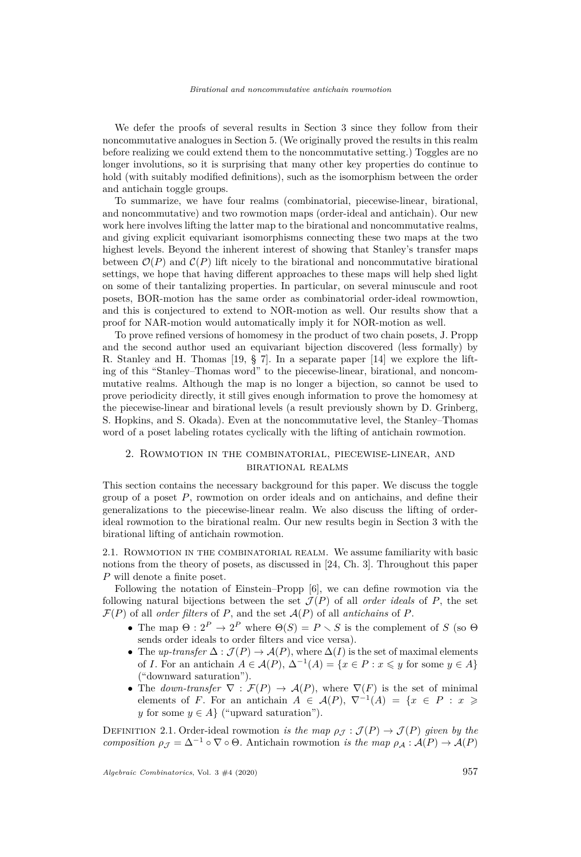We defer the proofs of several results in Section [3](#page-8-0) since they follow from their noncommutative analogues in Section [5.](#page-17-0) (We originally proved the results in this realm before realizing we could extend them to the noncommutative setting.) Toggles are no longer involutions, so it is surprising that many other key properties do continue to hold (with suitably modified definitions), such as the isomorphism between the order and antichain toggle groups.

To summarize, we have four realms (combinatorial, piecewise-linear, birational, and noncommutative) and two rowmotion maps (order-ideal and antichain). Our new work here involves lifting the latter map to the birational and noncommutative realms, and giving explicit equivariant isomorphisms connecting these two maps at the two highest levels. Beyond the inherent interest of showing that Stanley's transfer maps between  $\mathcal{O}(P)$  and  $\mathcal{C}(P)$  lift nicely to the birational and noncommutative birational settings, we hope that having different approaches to these maps will help shed light on some of their tantalizing properties. In particular, on several minuscule and root posets, BOR-motion has the same order as combinatorial order-ideal rowmowtion, and this is conjectured to extend to NOR-motion as well. Our results show that a proof for NAR-motion would automatically imply it for NOR-motion as well.

To prove refined versions of homomesy in the product of two chain posets, J. Propp and the second author used an equivariant bijection discovered (less formally) by R. Stanley and H. Thomas [\[19,](#page-30-6) § 7]. In a separate paper [\[14\]](#page-30-22) we explore the lifting of this "Stanley–Thomas word" to the piecewise-linear, birational, and noncommutative realms. Although the map is no longer a bijection, so cannot be used to prove periodicity directly, it still gives enough information to prove the homomesy at the piecewise-linear and birational levels (a result previously shown by D. Grinberg, S. Hopkins, and S. Okada). Even at the noncommutative level, the Stanley–Thomas word of a poset labeling rotates cyclically with the lifting of antichain rowmotion.

# <span id="page-3-0"></span>2. Rowmotion in the combinatorial, piecewise-linear, and birational realms

This section contains the necessary background for this paper. We discuss the toggle group of a poset *P*, rowmotion on order ideals and on antichains, and define their generalizations to the piecewise-linear realm. We also discuss the lifting of orderideal rowmotion to the birational realm. Our new results begin in Section [3](#page-8-0) with the birational lifting of antichain rowmotion.

2.1. Rowmotion in the combinatorial realm. We assume familiarity with basic notions from the theory of posets, as discussed in [\[24,](#page-30-23) Ch. 3]. Throughout this paper *P* will denote a finite poset.

Following the notation of Einstein–Propp [\[6\]](#page-29-4), we can define rowmotion via the following natural bijections between the set  $\mathcal{J}(P)$  of all *order ideals* of P, the set  $\mathcal{F}(P)$  of all *order filters* of P, and the set  $\mathcal{A}(P)$  of all *antichains* of P.

- The map  $\Theta: 2^P \to 2^P$  where  $\Theta(S) = P \setminus S$  is the complement of *S* (so  $\Theta$ sends order ideals to order filters and vice versa).
- The *up-transfer*  $\Delta : \mathcal{J}(P) \to \mathcal{A}(P)$ , where  $\Delta(I)$  is the set of maximal elements of *I*. For an antichain  $A \in \mathcal{A}(P)$ ,  $\Delta^{-1}(A) = \{x \in P : x \leq y \text{ for some } y \in A\}$ ("downward saturation").
- The *down-transfer*  $\nabla : \mathcal{F}(P) \to \mathcal{A}(P)$ , where  $\nabla(F)$  is the set of minimal elements of *F*. For an antichain  $A \in \mathcal{A}(P)$ ,  $\nabla^{-1}(A) = \{x \in P : x \geq$ *y* for some  $y \in A$  ("upward saturation").

DEFINITION 2.1. Order-ideal rowmotion *is the map*  $\rho_{\mathcal{I}} : \mathcal{J}(P) \to \mathcal{J}(P)$  *given by the composition*  $\rho_{\mathcal{J}} = \Delta^{-1} \circ \nabla \circ \Theta$ . Antichain rowmotion *is the map*  $\rho_{\mathcal{A}} : \mathcal{A}(P) \to \mathcal{A}(P)$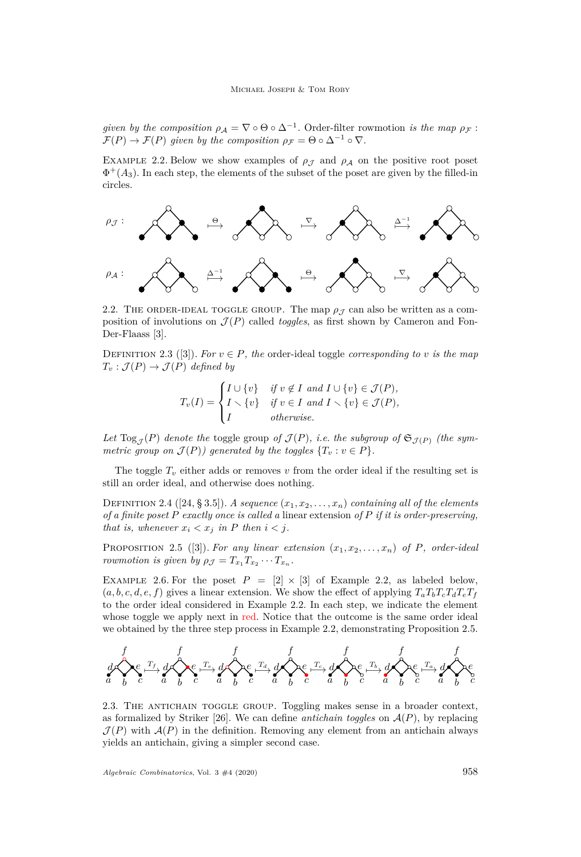*given by the composition*  $\rho_A = \nabla \circ \Theta \circ \Delta^{-1}$ . Order-filter rowmotion *is the map*  $\rho_F$ :  $\mathcal{F}(P) \to \mathcal{F}(P)$  given by the composition  $\rho_{\mathcal{F}} = \Theta \circ \Delta^{-1} \circ \nabla$ .

<span id="page-4-0"></span>EXAMPLE 2.2. Below we show examples of  $\rho_{\mathcal{J}}$  and  $\rho_{\mathcal{A}}$  on the positive root poset  $\Phi^+(A_3)$ . In each step, the elements of the subset of the poset are given by the filled-in circles.



2.2. THE ORDER-IDEAL TOGGLE GROUP. The map  $\rho_{\mathcal{J}}$  can also be written as a composition of involutions on  $\mathcal{J}(P)$  called *toggles*, as first shown by Cameron and Fon-Der-Flaass [\[3\]](#page-29-5).

DEFINITION 2.3 ([\[3\]](#page-29-5)). *For*  $v \in P$ *, the* order-ideal toggle *corresponding* to *v is the map*  $T_v : \mathcal{J}(P) \to \mathcal{J}(P)$  *defined by* 

$$
T_v(I) = \begin{cases} I \cup \{v\} & \text{if } v \notin I \text{ and } I \cup \{v\} \in \mathcal{J}(P), \\ I \setminus \{v\} & \text{if } v \in I \text{ and } I \setminus \{v\} \in \mathcal{J}(P), \\ I & \text{otherwise.} \end{cases}
$$

Let  $\text{Log}_{\mathcal{J}}(P)$  *denote the* toggle group *of*  $\mathcal{J}(P)$ *, i.e. the subgroup of*  $\mathfrak{S}_{\mathcal{J}(P)}$  *(the symmetric group on*  $\mathcal{J}(P)$ *) generated by the toggles*  $\{T_v : v \in P\}$ *.* 

The toggle  $T_v$  either adds or removes v from the order ideal if the resulting set is still an order ideal, and otherwise does nothing.

DEFINITION 2.4 ([\[24,](#page-30-23) § 3.5]). *A sequence*  $(x_1, x_2, \ldots, x_n)$  *containing all of the elements of a finite poset P exactly once is called a* linear extension *of P if it is order-preserving, that is, whenever*  $x_i < x_j$  *in P then*  $i < j$ *.* 

<span id="page-4-1"></span>PROPOSITION 2.5 ([\[3\]](#page-29-5)). For any linear extension  $(x_1, x_2, \ldots, x_n)$  of P, order-ideal *rowmotion is given by*  $\rho_{\mathcal{J}} = T_{x_1} T_{x_2} \cdots T_{x_n}$ .

EXAMPLE 2.6. For the poset  $P = [2] \times [3]$  of Example [2.2,](#page-4-0) as labeled below,  $(a, b, c, d, e, f)$  gives a linear extension. We show the effect of applying  $T_a T_b T_c T_d T_e T_f$ to the order ideal considered in Example [2.2.](#page-4-0) In each step, we indicate the element whose toggle we apply next in red. Notice that the outcome is the same order ideal we obtained by the three step process in Example [2.2,](#page-4-0) demonstrating Proposition [2.5.](#page-4-1)



2.3. THE ANTICHAIN TOGGLE GROUP. Toggling makes sense in a broader context, as formalized by Striker [\[26\]](#page-30-18). We can define *antichain toggles* on  $A(P)$ , by replacing  $\mathcal{J}(P)$  with  $\mathcal{A}(P)$  in the definition. Removing any element from an antichain always yields an antichain, giving a simpler second case.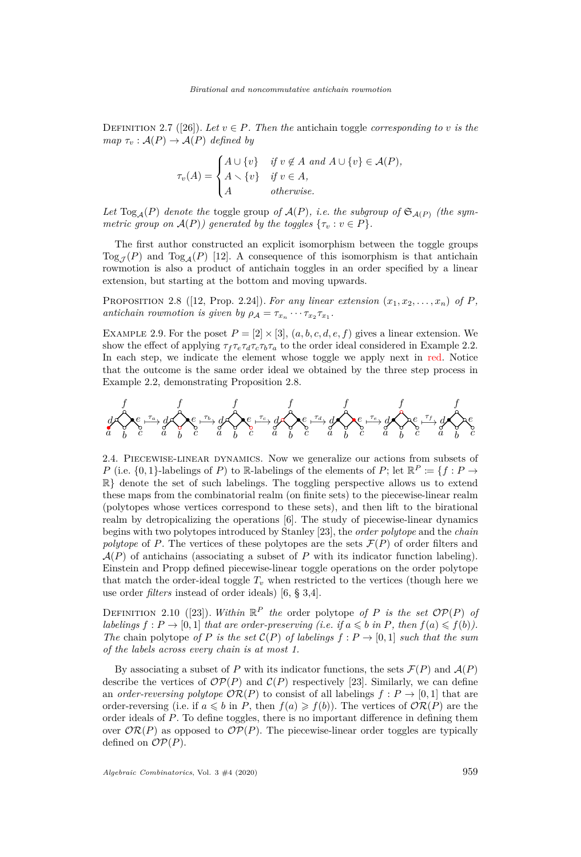DEFINITION 2.7 ([\[26\]](#page-30-18)). Let  $v \in P$ . Then the antichain toggle *corresponding to v is the map*  $\tau_v : A(P) \to A(P)$  *defined by* 

$$
\tau_v(A) = \begin{cases} A \cup \{v\} & \text{if } v \notin A \text{ and } A \cup \{v\} \in \mathcal{A}(P), \\ A \setminus \{v\} & \text{if } v \in A, \\ A & \text{otherwise.} \end{cases}
$$

Let  $\text{Log}_{\mathcal{A}}(P)$  *denote the* toggle group *of*  $\mathcal{A}(P)$ *, i.e. the subgroup of*  $\mathfrak{S}_{\mathcal{A}(P)}$  *(the symmetric group on*  $\mathcal{A}(P)$ *) generated by the toggles*  $\{\tau_v : v \in P\}$ *.* 

The first author constructed an explicit isomorphism between the toggle groups Tog<sub> $\tau(P)$ </sub> and Tog<sub>A</sub>(*P*) [\[12\]](#page-30-19). A consequence of this isomorphism is that antichain rowmotion is also a product of antichain toggles in an order specified by a linear extension, but starting at the bottom and moving upwards.

<span id="page-5-0"></span>PROPOSITION 2.8 ([\[12,](#page-30-19) Prop. 2.24]). For any linear extension  $(x_1, x_2, \ldots, x_n)$  of P, *antichain rowmotion is given by*  $\rho_A = \tau_{x_n} \cdots \tau_{x_2} \tau_{x_1}$ .

EXAMPLE 2.9. For the poset  $P = [2] \times [3]$ ,  $(a, b, c, d, e, f)$  gives a linear extension. We show the effect of applying  $\tau_f \tau_e \tau_d \tau_c \tau_b \tau_a$  to the order ideal considered in Example [2.2.](#page-4-0) In each step, we indicate the element whose toggle we apply next in red. Notice that the outcome is the same order ideal we obtained by the three step process in Example [2.2,](#page-4-0) demonstrating Proposition [2.8.](#page-5-0)



2.4. Piecewise-linear dynamics. Now we generalize our actions from subsets of *P* (i.e.  $\{0,1\}$ -labelings of *P*) to R-labelings of the elements of *P*; let  $\mathbb{R}^P := \{f : P \to P\}$  $\mathbb{R}$  denote the set of such labelings. The toggling perspective allows us to extend these maps from the combinatorial realm (on finite sets) to the piecewise-linear realm (polytopes whose vertices correspond to these sets), and then lift to the birational realm by detropicalizing the operations [\[6\]](#page-29-4). The study of piecewise-linear dynamics begins with two polytopes introduced by Stanley [\[23\]](#page-30-20), the *order polytope* and the *chain polytope* of *P*. The vertices of these polytopes are the sets  $\mathcal{F}(P)$  of order filters and  $\mathcal{A}(P)$  of antichains (associating a subset of P with its indicator function labeling). Einstein and Propp defined piecewise-linear toggle operations on the order polytope that match the order-ideal toggle  $T_v$  when restricted to the vertices (though here we use order *filters* instead of order ideals) [\[6,](#page-29-4) § 3,4].

DEFINITION 2.10 ([\[23\]](#page-30-20)). *Within*  $\mathbb{R}^P$  *the* order polytope *of P is the set*  $\mathcal{OP}(P)$  *of labelings*  $f: P \to [0, 1]$  *that are order-preserving (i.e. if*  $a \leq b$  *in*  $P$ *, then*  $f(a) \leq f(b)$ *). The* chain polytope *of P is the set*  $C(P)$  *of labelings*  $f: P \rightarrow [0, 1]$  *such that the sum of the labels across every chain is at most 1.*

By associating a subset of *P* with its indicator functions, the sets  $\mathcal{F}(P)$  and  $\mathcal{A}(P)$ describe the vertices of  $\mathcal{OP}(P)$  and  $\mathcal{C}(P)$  respectively [\[23\]](#page-30-20). Similarly, we can define an *order-reversing polytope*  $OR(P)$  to consist of all labelings  $f: P \rightarrow [0,1]$  that are order-reversing (i.e. if  $a \leq b$  in *P*, then  $f(a) \geq f(b)$ ). The vertices of  $\mathcal{OR}(P)$  are the order ideals of *P*. To define toggles, there is no important difference in defining them over  $\mathcal{OR}(P)$  as opposed to  $\mathcal{OP}(P)$ . The piecewise-linear order toggles are typically defined on  $\mathcal{OP}(P)$ .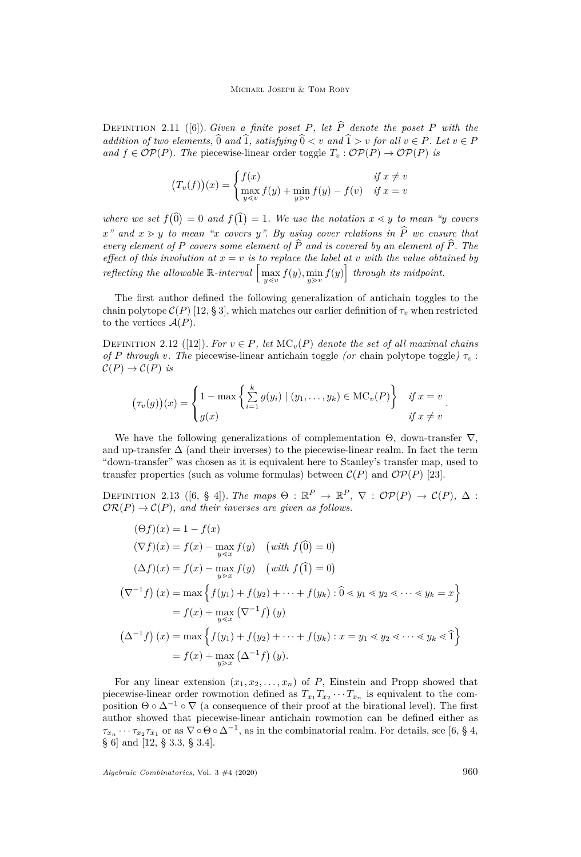DEFINITION 2.11 ([\[6\]](#page-29-4)). *Given a finite poset P, let*  $\hat{P}$  *denote the poset P with the addition of two elements,*  $\widehat{0}$  *and*  $\widehat{1}$ *, satisfying*  $\widehat{0} \lt v$  *and*  $\widehat{1} > v$  *for all*  $v \in P$ *. Let*  $v \in P$ *and*  $f \in \mathcal{OP}(P)$ *. The* piecewise-linear order toggle  $T_v : \mathcal{OP}(P) \to \mathcal{OP}(P)$  *is* 

$$
(T_v(f))(x) = \begin{cases} f(x) & \text{if } x \neq v \\ \max_{y \le v} f(y) + \min_{y > v} f(y) - f(v) & \text{if } x = v \end{cases}
$$

where we set  $f(\hat{0}) = 0$  and  $f(\hat{1}) = 1$ . We use the notation  $x \leq y$  to mean "*y* covers  $x^{\prime\prime}$  and  $x \geq y$  to mean "*x* covers *y*". By using cover relations in  $\hat{P}$  we ensure that *every element of*  $P$  *covers some element of*  $\widehat{P}$  *and is covered by an element of*  $\widehat{P}$ *. The effect of this involution at*  $x = v$  *is to replace the label at v with the value obtained by reflecting the allowable*  $\mathbb{R}\text{-}interval \left[\max_{y \leq v} f(y), \min_{y \geq v} f(y)\right]$  *through its midpoint.* 

The first author defined the following generalization of antichain toggles to the chain polytope  $\mathcal{C}(P)$  [\[12,](#page-30-19) § 3], which matches our earlier definition of  $\tau_v$  when restricted to the vertices  $A(P)$ .

<span id="page-6-0"></span>DEFINITION 2.12 ([\[12\]](#page-30-19)). *For*  $v \in P$ *, let*  $MC<sub>v</sub>(P)$  *denote the set of all maximal chains of P through v*. The piecewise-linear antichain toggle (or chain polytope toggle)  $\tau_v$ :  $\mathcal{C}(P) \to \mathcal{C}(P)$  *is* 

$$
(\tau_v(g))(x) = \begin{cases} 1 - \max\left\{\sum_{i=1}^k g(y_i) \mid (y_1,\ldots,y_k) \in \mathrm{MC}_v(P)\right\} & \text{if } x = v \\ g(x) & \text{if } x \neq v \end{cases}.
$$

We have the following generalizations of complementation  $\Theta$ , down-transfer  $\nabla$ , and up-transfer  $\Delta$  (and their inverses) to the piecewise-linear realm. In fact the term "down-transfer" was chosen as it is equivalent here to Stanley's transfer map, used to transfer properties (such as volume formulas) between  $\mathcal{C}(P)$  and  $\mathcal{OP}(P)$  [\[23\]](#page-30-20).

DEFINITION 2.13 ([\[6,](#page-29-4) § 4]). *The maps*  $\Theta : \mathbb{R}^P \to \mathbb{R}^P$ ,  $\nabla : \mathcal{OP}(P) \to \mathcal{C}(P)$ ,  $\Delta$ :  $\mathcal{OR}(P) \to \mathcal{C}(P)$ , and their inverses are given as follows.

$$
(\Theta f)(x) = 1 - f(x)
$$
  
\n
$$
(\nabla f)(x) = f(x) - \max_{y \le x} f(y) \quad \text{(with } f(\widehat{0}) = 0)
$$
  
\n
$$
(\Delta f)(x) = f(x) - \max_{y > x} f(y) \quad \text{(with } f(\widehat{1}) = 0)
$$
  
\n
$$
(\nabla^{-1} f)(x) = \max \left\{ f(y_1) + f(y_2) + \dots + f(y_k) : \widehat{0} < y_1 < y_2 < \dots < y_k = x \right\}
$$
  
\n
$$
= f(x) + \max_{y \le x} (\nabla^{-1} f)(y)
$$
  
\n
$$
(\Delta^{-1} f)(x) = \max \left\{ f(y_1) + f(y_2) + \dots + f(y_k) : x = y_1 < y_2 < \dots < y_k < \widehat{1} \right\}
$$
  
\n
$$
= f(x) + \max_{y > x} (\Delta^{-1} f)(y).
$$

For any linear extension  $(x_1, x_2, \ldots, x_n)$  of *P*, Einstein and Propp showed that piecewise-linear order rowmotion defined as  $T_{x_1} T_{x_2} \cdots T_{x_n}$  is equivalent to the composition  $\Theta \circ \Delta^{-1} \circ \nabla$  (a consequence of their proof at the birational level). The first author showed that piecewise-linear antichain rowmotion can be defined either as  $\tau_{x_n} \cdots \tau_{x_2} \tau_{x_1}$  or as  $\nabla \circ \Theta \circ \Delta^{-1}$ , as in the combinatorial realm. For details, see [\[6,](#page-29-4) § 4, § 6] and [\[12,](#page-30-19) § 3.3, § 3.4].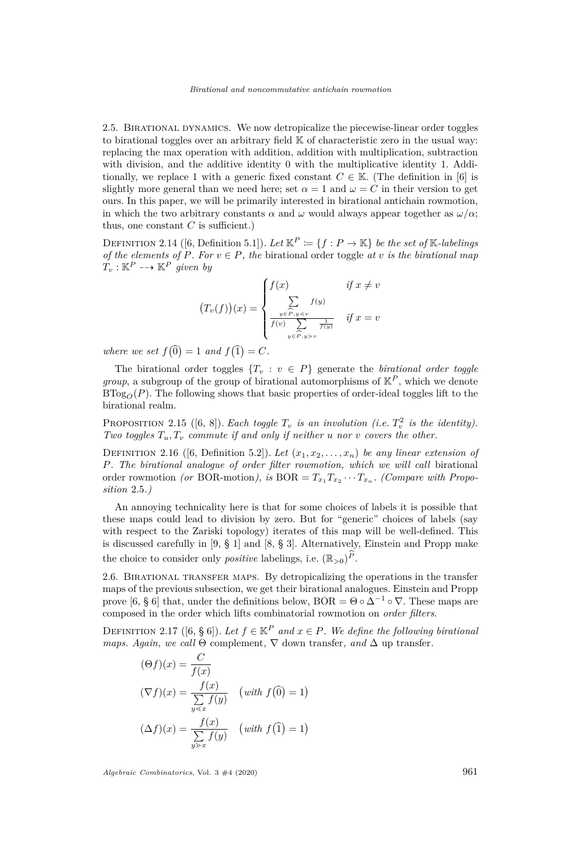2.5. Birational dynamics. We now detropicalize the piecewise-linear order toggles to birational toggles over an arbitrary field  $\mathbb K$  of characteristic zero in the usual way: replacing the max operation with addition, addition with multiplication, subtraction with division, and the additive identity 0 with the multiplicative identity 1. Additionally, we replace 1 with a generic fixed constant  $C \in \mathbb{K}$ . (The definition in [\[6\]](#page-29-4) is slightly more general than we need here; set  $\alpha = 1$  and  $\omega = C$  in their version to get ours. In this paper, we will be primarily interested in birational antichain rowmotion, in which the two arbitrary constants  $\alpha$  and  $\omega$  would always appear together as  $\omega/\alpha$ ; thus, one constant  $C$  is sufficient.)

DEFINITION 2.14 ([\[6,](#page-29-4) Definition 5.1]). Let  $\mathbb{K}^P := \{f : P \to \mathbb{K}\}\$ be the set of K-labelings *of the elements of*  $P$ *. For*  $v \in P$ *, the birational order toggle at v is the birational map*  $T_v$  :  $\mathbb{K}^P$  -- $\rightarrow$   $\mathbb{K}^P$  *given by* 

$$
(T_v(f))(x) = \begin{cases} f(x) & \text{if } x \neq v \\ \sum_{\substack{y \in \widehat{P}, y < v \\ f(v) = \sum_{y \in \widehat{P}, y > v}} f(y)} f(x) & \text{if } x = v \end{cases}
$$

where we set  $f(0) = 1$  and  $f(1) = C$ .

The birational order toggles  $\{T_v : v \in P\}$  generate the *birational order toggle group*, a subgroup of the group of birational automorphisms of  $\mathbb{K}^P$ , which we denote  $B\text{Tog}_{\mathcal{O}}(P)$ . The following shows that basic properties of order-ideal toggles lift to the birational realm.

PROPOSITION 2.15 ([\[6,](#page-29-4) [8\]](#page-30-11)). *Each toggle*  $T_v$  *is an involution (i.e.*  $T_v^2$  *is the identity). Two toggles*  $T_u$ ,  $T_v$  *commute if and only if neither u nor v covers* the other.

DEFINITION 2.16 ([\[6,](#page-29-4) Definition 5.2]). Let  $(x_1, x_2, \ldots, x_n)$  be any linear extension of *P. The birational analogue of order filter rowmotion, which we will call* birational order rowmotion *(or* BOR-motion*), is*  $BOR = T_{x_1} T_{x_2} \cdots T_{x_n}$ . *(Compare with Proposition* [2.5](#page-4-1)*.)*

An annoying technicality here is that for some choices of labels it is possible that these maps could lead to division by zero. But for "generic" choices of labels (say with respect to the Zariski topology) iterates of this map will be well-defined. This is discussed carefully in [\[9,](#page-30-12) § 1] and [\[8,](#page-30-11) § 3]. Alternatively, Einstein and Propp make the choice to consider only *positive* labelings, i.e.  $(\mathbb{R}_{>0})^P$ .

2.6. Birational transfer maps. By detropicalizing the operations in the transfer maps of the previous subsection, we get their birational analogues. Einstein and Propp prove [\[6,](#page-29-4) § 6] that, under the definitions below, BOR =  $\Theta \circ \Delta^{-1} \circ \nabla$ . These maps are composed in the order which lifts combinatorial rowmotion on *order filters*.

<span id="page-7-0"></span>DEFINITION 2.17 ([\[6,](#page-29-4) § 6]). Let  $f \in \mathbb{K}^P$  and  $x \in P$ . We define the following birational *maps. Again, we call*  $\Theta$  complement,  $\nabla$  down transfer, and  $\Delta$  up transfer.

$$
(\Theta f)(x) = \frac{C}{f(x)}
$$
  
\n
$$
(\nabla f)(x) = \frac{f(x)}{\sum_{y \le x} f(y)} \quad (\text{with } f(\widehat{0}) = 1)
$$
  
\n
$$
(\Delta f)(x) = \frac{f(x)}{\sum_{y \ge x} f(y)} \quad (\text{with } f(\widehat{1}) = 1)
$$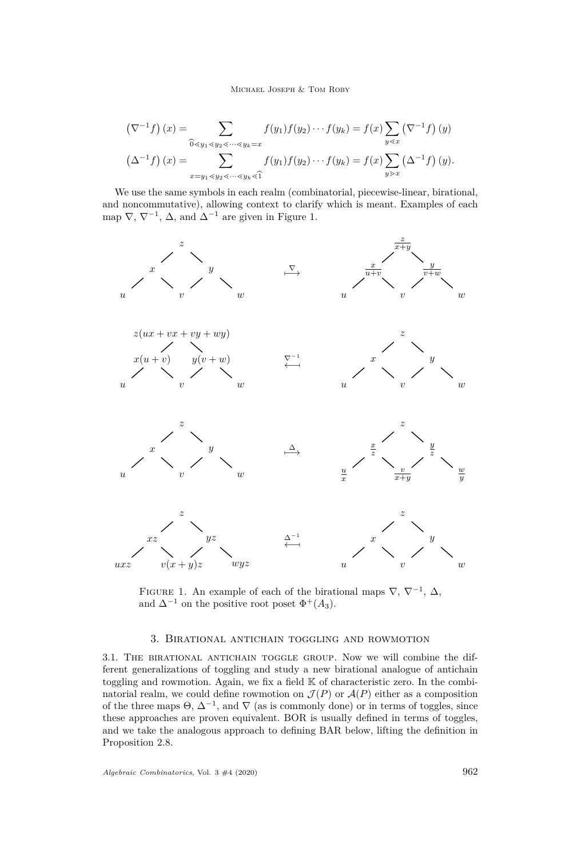### Michael Joseph & Tom Roby

$$
\left(\nabla^{-1}f\right)(x) = \sum_{\substack{\widehat{0} \le y_1 \le y_2 \le \cdots \le y_k = x}} f(y_1)f(y_2)\cdots f(y_k) = f(x)\sum_{y \le x} \left(\nabla^{-1}f\right)(y)
$$

$$
\left(\Delta^{-1}f\right)(x) = \sum_{x=y_1 \le y_2 \le \cdots \le y_k \le \widehat{1}} f(y_1)f(y_2)\cdots f(y_k) = f(x)\sum_{y \ge x} \left(\Delta^{-1}f\right)(y).
$$

We use the same symbols in each realm (combinatorial, piecewise-linear, birational, and noncommutative), allowing context to clarify which is meant. Examples of each map  $\nabla, \nabla^{-1}, \Delta$ , and  $\Delta^{-1}$  are given in Figure [1.](#page-8-1)



<span id="page-8-1"></span>FIGURE 1. An example of each of the birational maps  $\nabla, \nabla^{-1}, \Delta,$ and  $\Delta^{-1}$  on the positive root poset  $\Phi^+(A_3)$ .

# 3. Birational antichain toggling and rowmotion

<span id="page-8-0"></span>3.1. The birational antichain toggle group. Now we will combine the different generalizations of toggling and study a new birational analogue of antichain toggling and rowmotion. Again, we fix a field K of characteristic zero. In the combinatorial realm, we could define rowmotion on  $\mathcal{J}(P)$  or  $\mathcal{A}(P)$  either as a composition of the three maps  $\Theta$ ,  $\Delta^{-1}$ , and  $\nabla$  (as is commonly done) or in terms of toggles, since these approaches are proven equivalent. BOR is usually defined in terms of toggles, and we take the analogous approach to defining BAR below, lifting the definition in Proposition [2.8.](#page-5-0)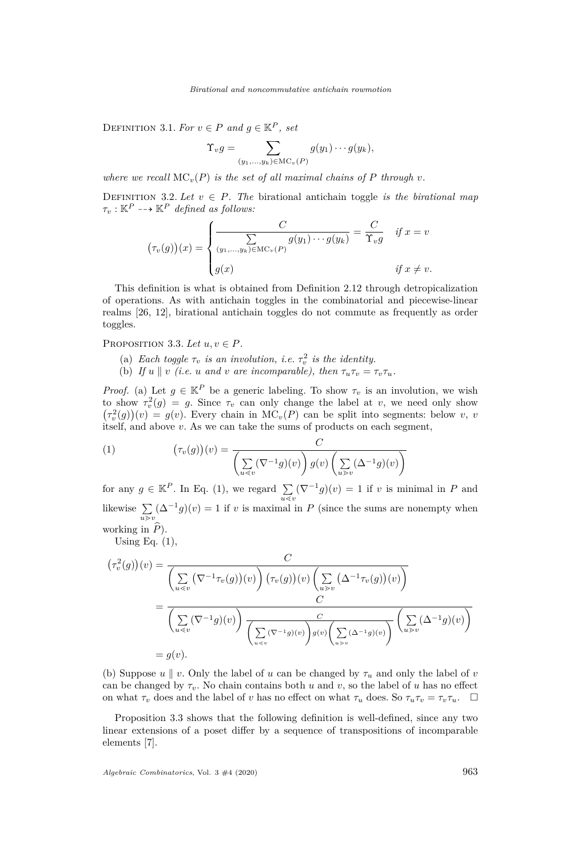DEFINITION 3.1. *For*  $v \in P$  *and*  $g \in \mathbb{K}^P$ *, set* 

$$
\Upsilon_v g = \sum_{(y_1,\ldots,y_k)\in \mathrm{MC}_v(P)} g(y_1)\cdots g(y_k),
$$

*where we recall*  $MC_v(P)$  *is the set of all maximal chains of*  $P$  *through*  $v$ *.* 

DEFINITION 3.2. Let  $v \in P$ . The birational antichain toggle *is the birational map*  $\tau_v : \mathbb{K}^P \dashrightarrow \mathbb{K}^P$  *defined as follows:* 

$$
(\tau_v(g))(x) = \begin{cases} \frac{C}{\sum_{(y_1,\ldots,y_k)\in\mathrm{MC}_v(P)} g(y_1)\cdots g(y_k)} = \frac{C}{\Upsilon_v g} & \text{if } x = v\\ g(x) & \text{if } x \neq v. \end{cases}
$$

This definition is what is obtained from Definition [2.12](#page-6-0) through detropicalization of operations. As with antichain toggles in the combinatorial and piecewise-linear realms [\[26,](#page-30-18) [12\]](#page-30-19), birational antichain toggles do not commute as frequently as order toggles.

# <span id="page-9-3"></span><span id="page-9-0"></span>PROPOSITION 3.3. Let  $u, v \in P$ .

- (a) *Each toggle*  $\tau_v$  *is an involution, i.e.*  $\tau_v^2$  *is the identity.*
- <span id="page-9-2"></span>(b) If  $u \parallel v$  (i.e.  $u$  and  $v$  are incomparable), then  $\tau_u \tau_v = \tau_v \tau_u$ .

*Proof.* [\(a\)](#page-9-0) Let  $g \in \mathbb{K}^P$  be a generic labeling. To show  $\tau_v$  is an involution, we wish to show  $\tau_v^2(g) = g$ . Since  $\tau_v$  can only change the label at *v*, we need only show  $(\tau_v^2(g))(v) = g(v)$ . Every chain in MC<sub>*v*</sub>(*P*) can be split into segments: below *v*, *v* itself, and above *v*. As we can take the sums of products on each segment,

<span id="page-9-1"></span>(1) 
$$
(\tau_v(g))(v) = \frac{C}{\left(\sum_{u \le v} (\nabla^{-1}g)(v)\right) g(v) \left(\sum_{u \ge v} (\Delta^{-1}g)(v)\right)}
$$

for any  $g \in \mathbb{K}^P$ . In Eq. [\(1\)](#page-9-1), we regard  $\sum_{u \le v} (\nabla^{-1} g)(v) = 1$  if *v* is minimal in *P* and likewise  $\sum_{u>v} (\Delta^{-1}g)(v) = 1$  if *v* is maximal in *P* (since the sums are nonempty when working in  $\widehat{P}$ ).

Using Eq.  $(1)$ ,

$$
(\tau_v^2(g))(v) = \frac{C}{\left(\sum_{u \le v} (\nabla^{-1} \tau_v(g))(v)\right) (\tau_v(g))(v) \left(\sum_{u \ge v} (\Delta^{-1} \tau_v(g))(v)\right)}
$$
  
= 
$$
\frac{C}{\left(\sum_{u \le v} (\nabla^{-1} g)(v)\right) \frac{C}{\left(\sum_{u \le v} (\nabla^{-1} g)(v)\right) g(v) \left(\sum_{u \ge v} (\Delta^{-1} g)(v)\right)} \left(\sum_{u \ge v} (\Delta^{-1} g)(v)\right)}
$$
  
=  $g(v).$ 

[\(b\)](#page-9-2) Suppose  $u \parallel v$ . Only the label of *u* can be changed by  $\tau_u$  and only the label of *v* can be changed by  $\tau_v$ . No chain contains both *u* and *v*, so the label of *u* has no effect on what  $\tau_v$  does and the label of *v* has no effect on what  $\tau_u$  does. So  $\tau_u \tau_v = \tau_v \tau_u$ .

Proposition [3.3](#page-9-3) shows that the following definition is well-defined, since any two linear extensions of a poset differ by a sequence of transpositions of incomparable elements [\[7\]](#page-29-6).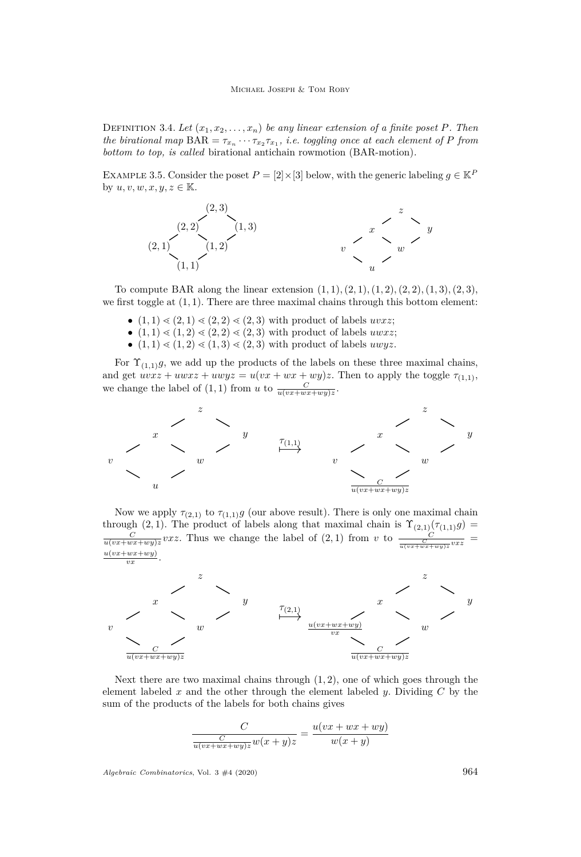<span id="page-10-0"></span>DEFINITION 3.4. Let  $(x_1, x_2, \ldots, x_n)$  be any linear extension of a finite poset P. Then *the birational map*  $\text{BAR} = \tau_{x_n} \cdots \tau_{x_2} \tau_{x_1}$ , *i.e. toggling once at each element of P from bottom to top, is called* birational antichain rowmotion (BAR-motion)*.*

<span id="page-10-1"></span>EXAMPLE 3.5. Consider the poset  $P = [2] \times [3]$  below, with the generic labeling  $g \in \mathbb{K}^P$ by  $u, v, w, x, y, z \in \mathbb{K}$ .



To compute BAR along the linear extension  $(1, 1), (2, 1), (1, 2), (2, 2), (1, 3), (2, 3)$ , we first toggle at  $(1, 1)$ . There are three maximal chains through this bottom element:

- $(1, 1) \leq (2, 1) \leq (2, 2) \leq (2, 3)$  with product of labels *uvxz*;
- $(1, 1) \le (1, 2) \le (2, 2) \le (2, 3)$  with product of labels *uwxz*;
- $(1, 1) \le (1, 2) \le (1, 3) \le (2, 3)$  with product of labels *uwyz*.

For  $\Upsilon_{(1,1)}g$ , we add up the products of the labels on these three maximal chains, and get  $uvxz + uwxz + uwyz = u(vx + wx + wy)z$ . Then to apply the toggle  $\tau_{(1,1)}$ , we change the label of  $(1, 1)$  from *u* to  $\frac{C}{u(vx+wx+wy)z}$ .



Now we apply  $\tau_{(2,1)}$  to  $\tau_{(1,1)}g$  (our above result). There is only one maximal chain through (2, 1). The product of labels along that maximal chain is  $\Upsilon_{(2,1)}(\tau_{(1,1)}g)$  $\frac{C}{u(vx+wx+wy)z}vxz$ . Thus we change the label of  $(2,1)$  from *v* to  $\frac{C}{u(vx+wx+wy)z}vxz$ = *u*(*vx*+*wx*+*wy*) .



Next there are two maximal chains through (1*,* 2), one of which goes through the element labeled *x* and the other through the element labeled *y*. Dividing *C* by the sum of the products of the labels for both chains gives

$$
\frac{C}{\frac{C}{u(vx+wx+wy)z}w(x+y)z} = \frac{u(vx+wx+wy)}{w(x+y)}
$$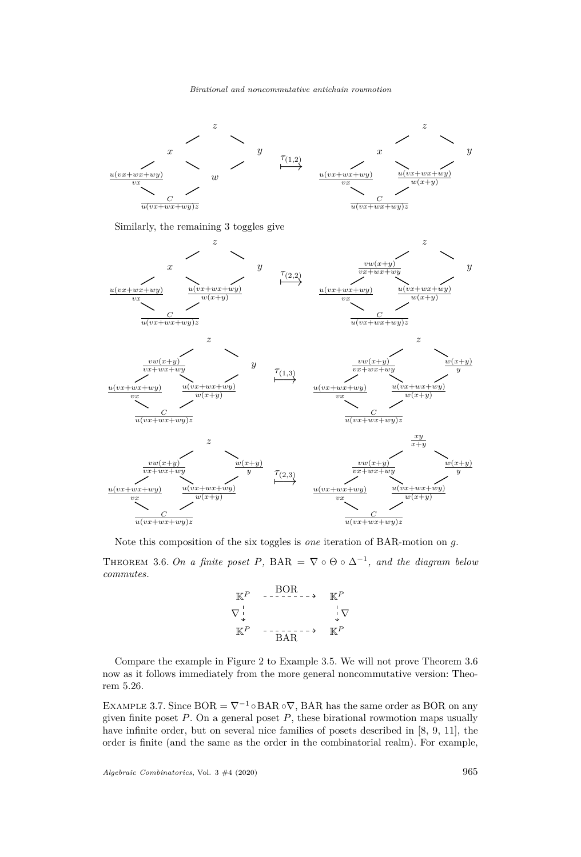

Note this composition of the six toggles is *one* iteration of BAR-motion on *g*.

<span id="page-11-0"></span>THEOREM 3.6. On a finite poset P, BAR =  $\nabla \circ \Theta \circ \Delta^{-1}$ , and the diagram below *commutes.*



Compare the example in Figure [2](#page-12-0) to Example [3.5.](#page-10-1) We will not prove Theorem [3.6](#page-11-0) now as it follows immediately from the more general noncommutative version: Theorem [5.26.](#page-28-0)

EXAMPLE 3.7. Since  $BOR = \nabla^{-1} \circ BAR \circ \nabla$ , BAR has the same order as BOR on any given finite poset *P*. On a general poset *P*, these birational rowmotion maps usually have infinite order, but on several nice families of posets described in [\[8,](#page-30-11) [9,](#page-30-12) [11\]](#page-30-15), the order is finite (and the same as the order in the combinatorial realm). For example,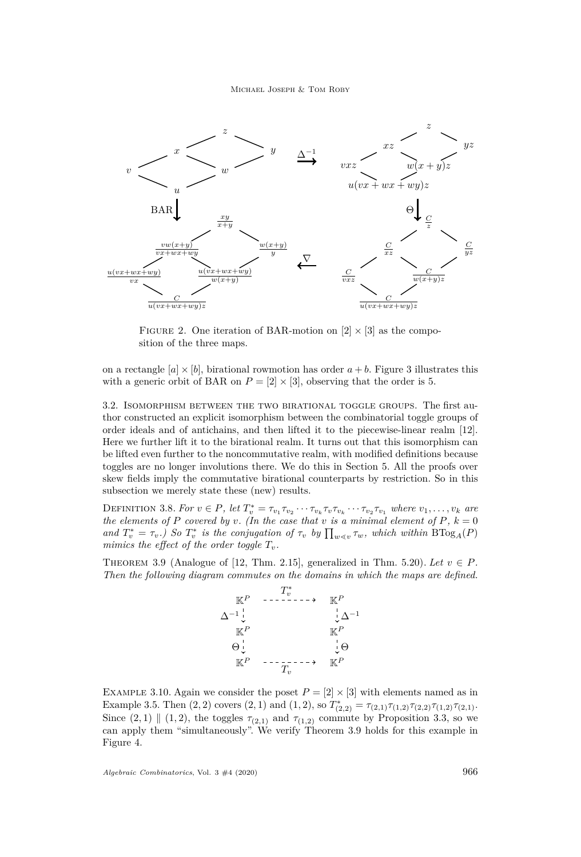

<span id="page-12-0"></span>FIGURE 2. One iteration of BAR-motion on  $[2] \times [3]$  as the composition of the three maps.

on a rectangle  $[a] \times [b]$ , birational rowmotion has order  $a + b$ . Figure [3](#page-13-0) illustrates this with a generic orbit of BAR on  $P = [2] \times [3]$ , observing that the order is 5.

<span id="page-12-3"></span>3.2. Isomorphism between the two birational toggle groups. The first author constructed an explicit isomorphism between the combinatorial toggle groups of order ideals and of antichains, and then lifted it to the piecewise-linear realm [\[12\]](#page-30-19). Here we further lift it to the birational realm. It turns out that this isomorphism can be lifted even further to the noncommutative realm, with modified definitions because toggles are no longer involutions there. We do this in Section [5.](#page-17-0) All the proofs over skew fields imply the commutative birational counterparts by restriction. So in this subsection we merely state these (new) results.

DEFINITION 3.8. For  $v \in P$ , let  $T_v^* = \tau_{v_1} \tau_{v_2} \cdots \tau_{v_k} \tau_v \tau_{v_k} \cdots \tau_{v_2} \tau_{v_1}$  where  $v_1, \ldots, v_k$  are *the elements of*  $P$  *covered by*  $v$ *. (In the case that*  $v$  *is a minimal element of*  $P$ *,*  $k = 0$ *and*  $T_v^* = \tau_v$ *.)* So  $T_v^*$  is the conjugation of  $\tau_v$  by  $\prod_{w \le v} \tau_w$ , which within  $B\text{Tog}_A(P)$ *mimics the effect of the order toggle*  $T_v$ *.* 

<span id="page-12-1"></span>THEOREM 3.9 (Analogue of [\[12,](#page-30-19) Thm. 2.15], generalized in Thm. [5.20\)](#page-23-0). Let  $v \in P$ . *Then the following diagram commutes on the domains in which the maps are defined.*



<span id="page-12-2"></span>EXAMPLE 3.10. Again we consider the poset  $P = [2] \times [3]$  with elements named as in Example [3.5.](#page-10-1) Then  $(2, 2)$  covers  $(2, 1)$  and  $(1, 2)$ , so  $T_{(2, 2)}^* = \tau_{(2, 1)} \tau_{(1, 2)} \tau_{(2, 2)} \tau_{(1, 2)} \tau_{(2, 1)}$ . Since  $(2, 1) \parallel (1, 2)$ , the toggles  $\tau_{(2,1)}$  and  $\tau_{(1,2)}$  commute by Proposition [3.3,](#page-9-3) so we can apply them "simultaneously". We verify Theorem [3.9](#page-12-1) holds for this example in Figure [4.](#page-14-0)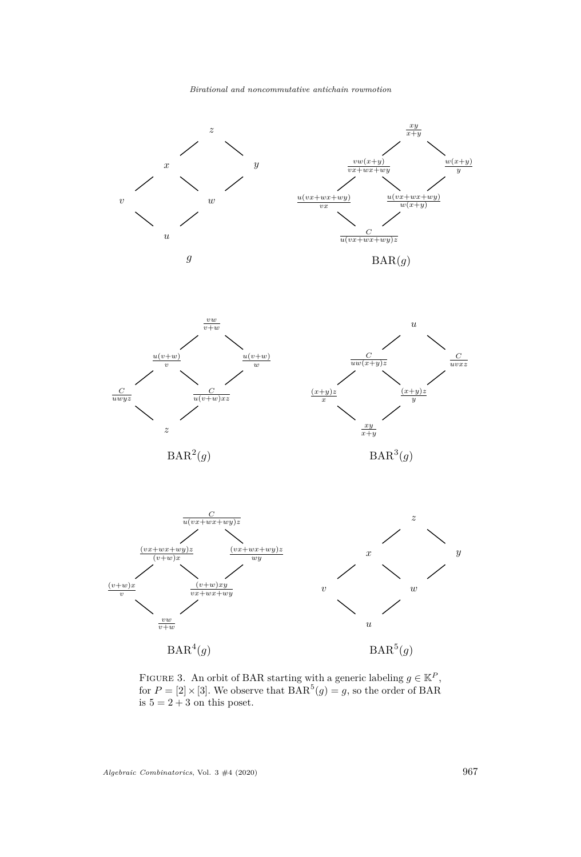



<span id="page-13-0"></span>FIGURE 3. An orbit of BAR starting with a generic labeling  $g \in \mathbb{K}^P$ , for  $P = [2] \times [3]$ . We observe that  $\text{BAR}^5(g) = g$ , so the order of BAR is  $5 = 2 + 3$  on this poset.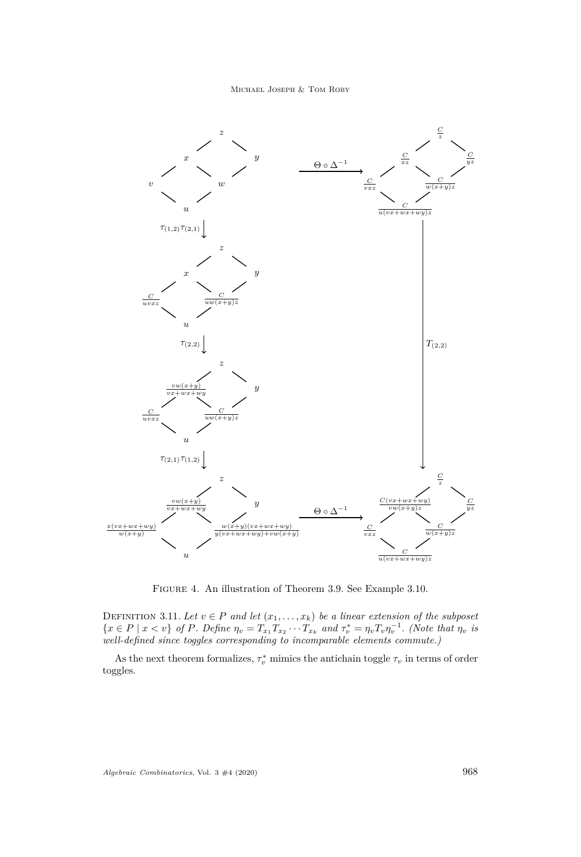

<span id="page-14-0"></span>Figure 4. An illustration of Theorem [3.9.](#page-12-1) See Example [3.10.](#page-12-2)

DEFINITION 3.11. Let  $v \in P$  and let  $(x_1, \ldots, x_k)$  be a linear extension of the subposet  $\{x \in P \mid x < v\}$  of P. Define  $\eta_v = T_{x_1} T_{x_2} \cdots T_{x_k}$  and  $\tau_v^* = \eta_v T_v \eta_v^{-1}$ . (Note that  $\eta_v$  is *well-defined since toggles corresponding to incomparable elements commute.)*

As the next theorem formalizes,  $\tau_v^*$  mimics the antichain toggle  $\tau_v$  in terms of order toggles.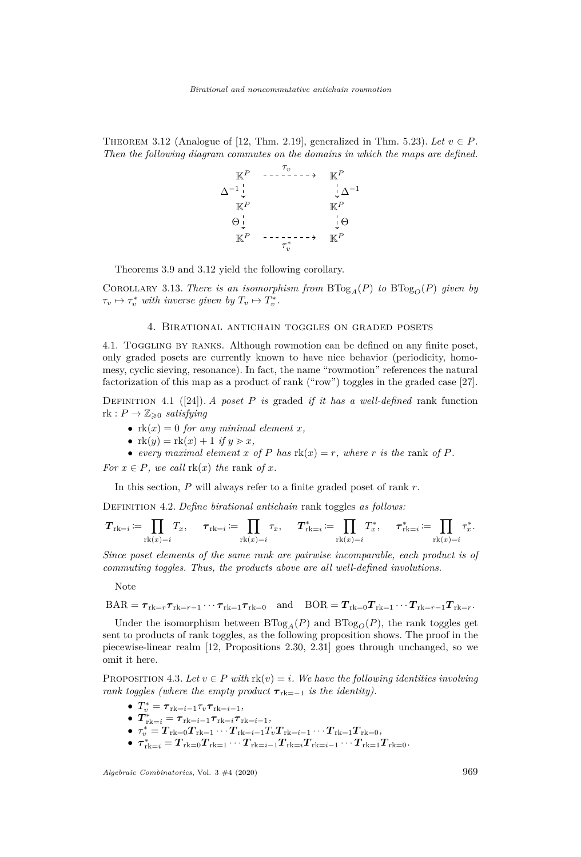<span id="page-15-1"></span>THEOREM 3.12 (Analogue of [\[12,](#page-30-19) Thm. 2.19], generalized in Thm. [5.23\)](#page-26-0). Let  $v \in P$ . *Then the following diagram commutes on the domains in which the maps are defined.*



Theorems [3.9](#page-12-1) and [3.12](#page-15-1) yield the following corollary.

COROLLARY 3.13. *There is an isomorphism from*  $B\text{Tog}_{A}(P)$  *to*  $B\text{Tog}_{O}(P)$  *given by*  $\tau_v \mapsto \tau_v^*$  *with inverse given by*  $T_v \mapsto T_v^*$ *.* 

#### 4. Birational antichain toggles on graded posets

<span id="page-15-0"></span>4.1. Toggling by ranks. Although rowmotion can be defined on any finite poset, only graded posets are currently known to have nice behavior (periodicity, homomesy, cyclic sieving, resonance). In fact, the name "rowmotion" references the natural factorization of this map as a product of rank ("row") toggles in the graded case [\[27\]](#page-30-0).

Definition 4.1 ([\[24\]](#page-30-23)). *A poset P is* graded *if it has a well-defined* rank function  $rk: P \to \mathbb{Z}_{\geqslant 0}$  *satisfying* 

- $rk(x) = 0$  *for any minimal element x*,
- $rk(y) = rk(x) + 1$  *if*  $y > x$ ,
- *every maximal element*  $x$  *of*  $P$  *has*  $rk(x) = r$ *, where*  $r$  *is the* rank *of*  $P$ *.*

*For*  $x \in P$ *, we call*  $\text{rk}(x)$  *the* rank *of*  $x$ *.* 

In this section, *P* will always refer to a finite graded poset of rank *r*.

Definition 4.2. *Define birational antichain* rank toggles *as follows:*

$$
\pmb{T}_{\mathrm{rk}=i} \coloneqq \prod_{\mathrm{rk}(x)=i} T_x, \quad \pmb{\tau}_{\mathrm{rk}=i} \coloneqq \prod_{\mathrm{rk}(x)=i} \tau_x, \quad \pmb{T}^*_{\mathrm{rk}=i} \coloneqq \prod_{\mathrm{rk}(x)=i} T_x^*, \quad \pmb{\tau}^*_{\mathrm{rk}=i} \coloneqq \prod_{\mathrm{rk}(x)=i} \tau_x^*.
$$

*Since poset elements of the same rank are pairwise incomparable, each product is of commuting toggles. Thus, the products above are all well-defined involutions.*

Note

 $BAR = \tau_{rk=r} \tau_{rk=r-1} \cdots \tau_{rk=1} \tau_{rk=0}$  and  $BOR = T_{rk=0} T_{rk=1} \cdots T_{rk=r-1} T_{rk=r}$ .

Under the isomorphism between  $BTog_A(P)$  and  $BTog_O(P)$ , the rank toggles get sent to products of rank toggles, as the following proposition shows. The proof in the piecewise-linear realm [\[12,](#page-30-19) Propositions 2.30, 2.31] goes through unchanged, so we omit it here.

PROPOSITION 4.3. Let  $v \in P$  with  $\text{rk}(v) = i$ *. We have the following identities involving rank toggles (where the empty product*  $\tau_{rk=-1}$  *is the identity).* 

- $\bullet$   $T_v^* = \tau_{rk=i-1} \tau_v \tau_{rk=i-1},$
- $\boldsymbol{T}^*_{\text{rk}=i} = \boldsymbol{\tau}_{\text{rk}=i-1} \boldsymbol{\tau}_{\text{rk}=i} \boldsymbol{\tau}_{\text{rk}=i-1},$
- $\bullet$   $\tau_v^* = \overline{T}_{\text{rk}=0} \overline{T}_{\text{rk}=1} \cdots \overline{T}_{\text{rk}=i-1} T_v \overline{T}_{\text{rk}=i-1} \cdots \overline{T}_{\text{rk}=1} \overline{T}_{\text{rk}=0}$
- $\bullet \ \tau^*_{\text{rk}=i} = T_{\text{rk}=0} T_{\text{rk}=1} \cdots T_{\text{rk}=i-1} T_{\text{rk}=i} T_{\text{rk}=i-1} \cdots T_{\text{rk}=1} T_{\text{rk}=0}.$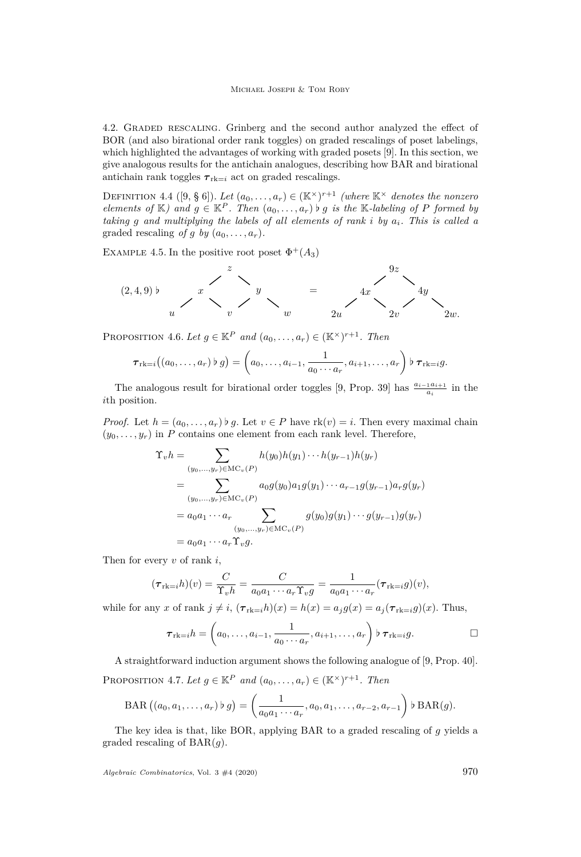<span id="page-16-0"></span>4.2. Graded rescaling. Grinberg and the second author analyzed the effect of BOR (and also birational order rank toggles) on graded rescalings of poset labelings, which highlighted the advantages of working with graded posets [\[9\]](#page-30-12). In this section, we give analogous results for the antichain analogues, describing how BAR and birational antichain rank toggles  $\tau_{rk=i}$  act on graded rescalings.

DEFINITION 4.4 ([\[9,](#page-30-12) § 6]). Let  $(a_0, \ldots, a_r) \in (\mathbb{K}^\times)^{r+1}$  *(where*  $\mathbb{K}^\times$  *denotes the nonzero elements of*  $K$ *)* and  $g \in K^P$ . Then  $(a_0, \ldots, a_r)$  b g is the K-labeling of P formed by *taking g and multiplying the labels of all elements of rank i by ai. This is called a* graded rescaling *of g by*  $(a_0, \ldots, a_r)$ *.* 

EXAMPLE 4.5. In the positive root poset  $\Phi^+(A_3)$ 

$$
(2,4,9) \text{ b } x\n \begin{array}{c} z \\ x \\ y \\ z \end{array}\n \begin{array}{c} z \\ y \\ y \\ z \end{array}\n \begin{array}{c} \\ 4x \\ 2y \\ 2y \end{array}\n \begin{array}{c} 9z \\ 4y \\ 2w \end{array}\n \begin{array}{c} \\ 2x \end{array}\n \begin{array}{c} \\ 2x \end{array}\n \begin{array}{c} \\ 2x \end{array}\n \begin{array}{c} \\ 2x \end{array}\n \begin{array}{c} \\ 2x \end{array}\n \begin{array}{c} \\ 2x \end{array}\n \begin{array}{c} \\ 2x \end{array}\n \begin{array}{c} \\ 2x \end{array}\n \begin{array}{c} \\ 2x \end{array}\n \begin{array}{c} \\ 2x \end{array}\n \begin{array}{c} \\ 2x \end{array}\n \begin{array}{c} \\ 2x \end{array}\n \begin{array}{c} \\ 2x \end{array}\n \begin{array}{c} \\ 2x \end{array}\n \begin{array}{c} \\ 2x \end{array}\n \begin{array}{c} \\ 2x \end{array}\n \begin{array}{c} \\ 2x \end{array}\n \begin{array}{c} \\ 2x \end{array}\n \begin{array}{c} \\ 2x \end{array}\n \begin{array}{c} \\ 2x \end{array}\n \begin{array}{c} \\ 2x \end{array}\n \begin{array}{c} \\ 2x \end{array}\n \begin{array}{c} \\ 2x \end{array}\n \begin{array}{c} \\ 2x \end{array}\n \begin{array}{c} \\ 2x \end{array}\n \begin{array}{c} \\ 2x \end{array}\n \begin{array}{c} \\ 2x \end{array}\n \begin{array}{c} \\ 2x \end{array}\n \begin{array}{c} \\ 2x \end{array}\n \begin{array}{c} \\ 2x \end{array}\n \begin{array}{c} \\ 2x \end{array}\n \begin{array}{c} \\ 2x \end{array}\n \begin{array}{c} \\ 2x \end{array}\n \end{array}
$$

<span id="page-16-1"></span>PROPOSITION 4.6. Let  $g \in \mathbb{K}^P$  and  $(a_0, \ldots, a_r) \in (\mathbb{K}^\times)^{r+1}$ . Then

$$
\boldsymbol{\tau}_{\mathrm{rk}=i} \big( (a_0,\ldots,a_r) \,\flat\, g \big) = \left( a_0,\ldots,a_{i-1},\frac{1}{a_0\cdots a_r},a_{i+1},\ldots,a_r \right) \,\flat\, \boldsymbol{\tau}_{\mathrm{rk}=i} g.
$$

The analogous result for birational order toggles [\[9,](#page-30-12) Prop. 39] has  $\frac{a_{i-1}a_{i+1}}{a_i}$  in the *i*th position.

*Proof.* Let  $h = (a_0, \ldots, a_r) \triangleright q$ . Let  $v \in P$  have  $rk(v) = i$ . Then every maximal chain  $(y_0, \ldots, y_r)$  in *P* contains one element from each rank level. Therefore,

$$
\begin{split} \Upsilon_{v}h &= \sum_{(y_{0},\ldots,y_{r}) \in \mathrm{MC}_{v}(P)} h(y_{0})h(y_{1})\cdots h(y_{r-1})h(y_{r}) \\ &= \sum_{(y_{0},\ldots,y_{r}) \in \mathrm{MC}_{v}(P)} a_{0}g(y_{0})a_{1}g(y_{1})\cdots a_{r-1}g(y_{r-1})a_{r}g(y_{r}) \\ &= a_{0}a_{1}\cdots a_{r} \sum_{(y_{0},\ldots,y_{r}) \in \mathrm{MC}_{v}(P)} g(y_{0})g(y_{1})\cdots g(y_{r-1})g(y_{r}) \\ &= a_{0}a_{1}\cdots a_{r}\Upsilon_{v}g. \end{split}
$$

Then for every *v* of rank *i*,

$$
(\boldsymbol{\tau}_{\text{rk}=i}h)(v) = \frac{C}{\Upsilon_v h} = \frac{C}{a_0 a_1 \cdots a_r \Upsilon_v g} = \frac{1}{a_0 a_1 \cdots a_r} (\boldsymbol{\tau}_{\text{rk}=i}g)(v),
$$

while for any *x* of rank  $j \neq i$ ,  $(\tau_{rk=i}h)(x) = h(x) = a_jq(x) = a_j(\tau_{rk=i}q)(x)$ . Thus,

$$
\boldsymbol{\tau}_{\text{rk}=i}h = \left(a_0,\ldots,a_{i-1},\frac{1}{a_0\cdots a_r},a_{i+1},\ldots,a_r\right)\flat\boldsymbol{\tau}_{\text{rk}=i}g.
$$

<span id="page-16-2"></span>A straightforward induction argument shows the following analogue of [\[9,](#page-30-12) Prop. 40]. PROPOSITION 4.7. Let  $g \in \mathbb{K}^P$  and  $(a_0, \ldots, a_r) \in (\mathbb{K}^\times)^{r+1}$ . Then

$$
\text{BAR}\left(\left(a_0, a_1, \ldots, a_r\right) \flat g\right) = \left(\frac{1}{a_0 a_1 \cdots a_r}, a_0, a_1, \ldots, a_{r-2}, a_{r-1}\right) \flat \text{BAR}(g).
$$

The key idea is that, like BOR, applying BAR to a graded rescaling of *g* yields a graded rescaling of BAR(*g*).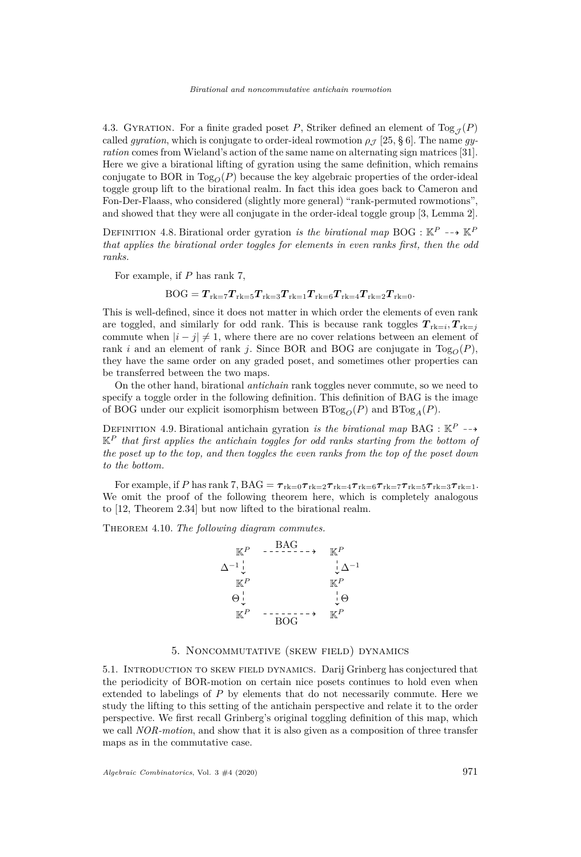4.3. GYRATION. For a finite graded poset P, Striker defined an element of Tog<sub> $\tau$ </sub>(P) called *gyration*, which is conjugate to order-ideal rowmotion  $\rho \sim [25, \S 6]$  $\rho \sim [25, \S 6]$  $\rho \sim [25, \S 6]$ . The name *gyration* comes from Wieland's action of the same name on alternating sign matrices [\[31\]](#page-30-24). Here we give a birational lifting of gyration using the same definition, which remains conjugate to BOR in  $\text{Log}_{\Omega}(P)$  because the key algebraic properties of the order-ideal toggle group lift to the birational realm. In fact this idea goes back to Cameron and Fon-Der-Flaass, who considered (slightly more general) "rank-permuted rowmotions", and showed that they were all conjugate in the order-ideal toggle group [\[3,](#page-29-5) Lemma 2].

DEFINITION 4.8. Birational order gyration *is the birational map* BOG :  $\mathbb{K}^P \dashrightarrow \mathbb{K}^P$ *that applies the birational order toggles for elements in even ranks first, then the odd ranks.*

For example, if *P* has rank 7,

$$
\mathrm{BOG} = T_{\mathrm{rk}=7} T_{\mathrm{rk}=5} T_{\mathrm{rk}=3} T_{\mathrm{rk}=1} T_{\mathrm{rk}=6} T_{\mathrm{rk}=4} T_{\mathrm{rk}=2} T_{\mathrm{rk}=0}.
$$

This is well-defined, since it does not matter in which order the elements of even rank are toggled, and similarly for odd rank. This is because rank toggles  $T_{\text{rk}=i}, T_{\text{rk}=j}$ commute when  $|i - j| \neq 1$ , where there are no cover relations between an element of rank *i* and an element of rank *j*. Since BOR and BOG are conjugate in  $Tog<sub>O</sub>(P)$ , they have the same order on any graded poset, and sometimes other properties can be transferred between the two maps.

On the other hand, birational *antichain* rank toggles never commute, so we need to specify a toggle order in the following definition. This definition of BAG is the image of BOG under our explicit isomorphism between  $BTog_{O}(P)$  and  $BTog_{A}(P)$ .

DEFINITION 4.9. Birational antichain gyration *is the birational map* BAG :  $\mathbb{K}^P$  -- $\mathbb{K}^P$  *that first applies the antichain toggles for odd ranks starting from the bottom of the poset up to the top, and then toggles the even ranks from the top of the poset down to the bottom.*

For example, if *P* has rank 7, BAG =  $\tau_{rk=0}\tau_{rk=2}\tau_{rk=4}\tau_{rk=6}\tau_{rk=7}\tau_{rk=5}\tau_{rk=3}\tau_{rk=1}$ . We omit the proof of the following theorem here, which is completely analogous to [\[12,](#page-30-19) Theorem 2.34] but now lifted to the birational realm.

Theorem 4.10. *The following diagram commutes.*



# 5. Noncommutative (skew field) dynamics

<span id="page-17-0"></span>5.1. Introduction to skew field dynamics. Darij Grinberg has conjectured that the periodicity of BOR-motion on certain nice posets continues to hold even when extended to labelings of *P* by elements that do not necessarily commute. Here we study the lifting to this setting of the antichain perspective and relate it to the order perspective. We first recall Grinberg's original toggling definition of this map, which we call *NOR-motion*, and show that it is also given as a composition of three transfer maps as in the commutative case.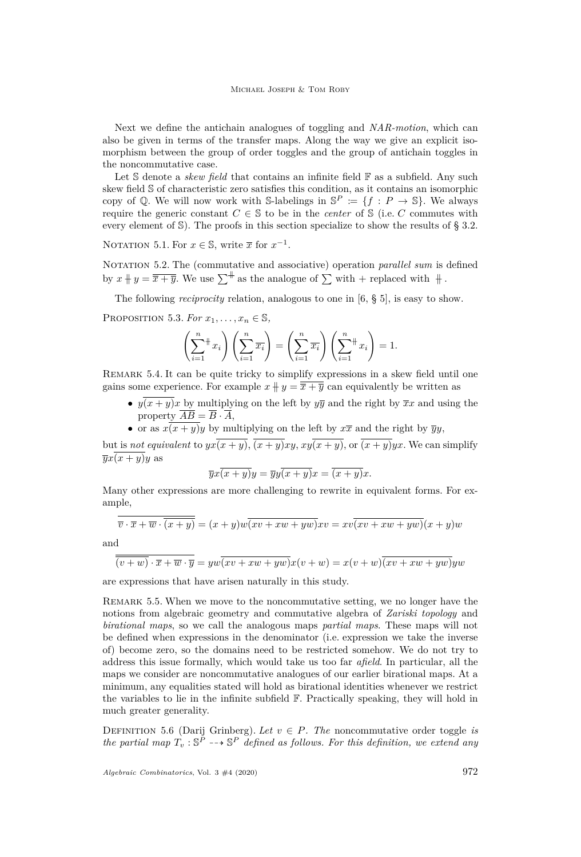Next we define the antichain analogues of toggling and *NAR-motion*, which can also be given in terms of the transfer maps. Along the way we give an explicit isomorphism between the group of order toggles and the group of antichain toggles in the noncommutative case.

Let S denote a *skew field* that contains an infinite field  $\mathbb{F}$  as a subfield. Any such skew field S of characteristic zero satisfies this condition, as it contains an isomorphic copy of Q. We will now work with S-labelings in  $\mathbb{S}^P := \{f : P \to \mathbb{S}\}\.$  We always require the generic constant  $C \in \mathbb{S}$  to be in the *center* of  $\mathbb{S}$  (i.e. *C* commutes with every element of S). The proofs in this section specialize to show the results of § [3.2.](#page-12-3)

NOTATION 5.1. For  $x \in \mathbb{S}$ , write  $\overline{x}$  for  $x^{-1}$ .

NOTATION 5.2. The (commutative and associative) operation *parallel sum* is defined by  $x + y = \overline{x + y}$ . We use  $\sum^{\#}$  as the analogue of  $\sum$  with + replaced with  $\#$ .

The following *reciprocity* relation, analogous to one in [\[6,](#page-29-4) § 5], is easy to show.

PROPOSITION 5.3. *For*  $x_1, \ldots, x_n \in \mathbb{S}$ ,

$$
\left(\sum_{i=1}^n x_i\right)\left(\sum_{i=1}^n \overline{x_i}\right) = \left(\sum_{i=1}^n \overline{x_i}\right)\left(\sum_{i=1}^n x_i\right) = 1.
$$

Remark 5.4. It can be quite tricky to simplify expressions in a skew field until one gains some experience. For example  $x + y = \overline{x + y}$  can equivalently be written as

- $y(x+y)x$  by multiplying on the left by  $y\overline{y}$  and the right by  $\overline{x}x$  and using the property  $\overline{AB} = \overline{B} \cdot \overline{A}$ ,
- or as  $x(x+y)y$  by multiplying on the left by  $x\overline{x}$  and the right by  $\overline{y}y$ ,

but is *not equivalent* to  $yx(x+y)$ ,  $\overline{(x+y)}xy$ ,  $xy(x+y)$ , or  $\overline{(x+y)}yx$ . We can simplify  $\overline{y}x(x+y)y$  as

$$
\overline{y}x\overline{(x+y)}y = \overline{y}y\overline{(x+y)}x = \overline{(x+y)}x.
$$

Many other expressions are more challenging to rewrite in equivalent forms. For example,

$$
\overline{v} \cdot \overline{x} + \overline{w} \cdot \overline{(x+y)} = (x+y)w\overline{(xv+xw+yw)}xv = xv\overline{(xv+xw+yw)}(x+y)w
$$

and

$$
\overline{(v+w)} \cdot \overline{x} + \overline{w} \cdot \overline{y} = yw\overline{(xv + xw + yw)}x(v+w) = x(v+w)\overline{(xv + xw + yw)}yw
$$

are expressions that have arisen naturally in this study.

Remark 5.5. When we move to the noncommutative setting, we no longer have the notions from algebraic geometry and commutative algebra of *Zariski topology* and *birational maps*, so we call the analogous maps *partial maps*. These maps will not be defined when expressions in the denominator (i.e. expression we take the inverse of) become zero, so the domains need to be restricted somehow. We do not try to address this issue formally, which would take us too far *afield*. In particular, all the maps we consider are noncommutative analogues of our earlier birational maps. At a minimum, any equalities stated will hold as birational identities whenever we restrict the variables to lie in the infinite subfield F. Practically speaking, they will hold in much greater generality.

DEFINITION 5.6 (Darij Grinberg). Let  $v \in P$ . The noncommutative order toggle *is the partial map*  $T_v : \mathbb{S}^P \dashrightarrow \mathbb{S}^P$  *defined as follows. For this definition, we extend any*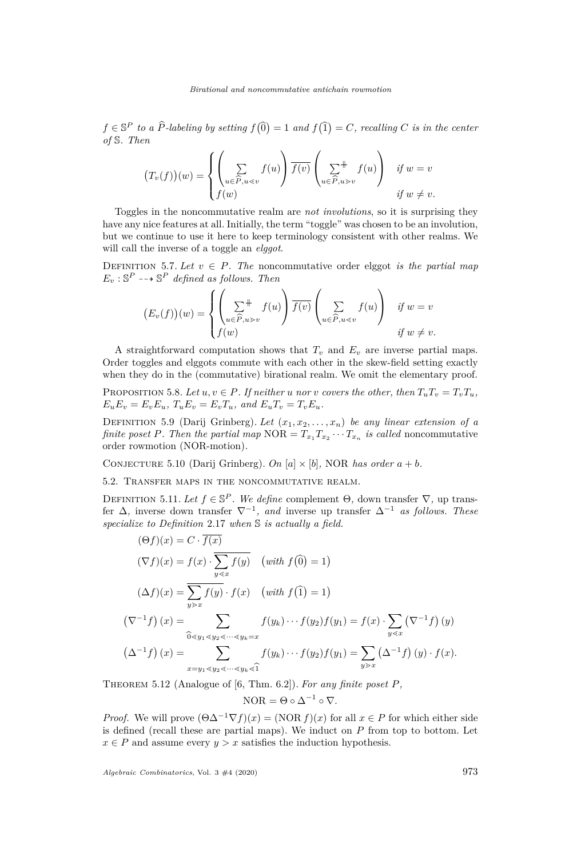$f \in \mathbb{S}^P$  *to a*  $\widehat{P}$ -labeling by setting  $f(\widehat{0}) = 1$  and  $f(\widehat{1}) = C$ , recalling *C* is in the center *of* S*. Then*

$$
(T_v(f))(w) = \begin{cases} \left(\sum_{u \in \widehat{P}, u < v} f(u)\right) \overline{f(v)} \left(\sum_{u \in \widehat{P}, u > v} f(u)\right) & \text{if } w = v\\ f(w) & \text{if } w \neq v. \end{cases}
$$

Toggles in the noncommutative realm are *not involutions*, so it is surprising they have any nice features at all. Initially, the term "toggle" was chosen to be an involution, but we continue to use it here to keep terminology consistent with other realms. We will call the inverse of a toggle an *elggot*.

DEFINITION 5.7. Let  $v \in P$ . The noncommutative order elggot *is the partial map*  $E_v : \mathbb{S}^P \dashrightarrow \mathbb{S}^P$  *defined as follows. Then* 

$$
(E_v(f))(w) = \begin{cases} \left(\sum_{u \in \widehat{P}, u > v} f(u)\right) \overline{f(v)} \left(\sum_{u \in \widehat{P}, u < v} f(u)\right) & \text{if } w = v \\ f(w) & \text{if } w \neq v. \end{cases}
$$

A straightforward computation shows that  $T_v$  and  $E_v$  are inverse partial maps. Order toggles and elggots commute with each other in the skew-field setting exactly when they do in the (commutative) birational realm. We omit the elementary proof.

PROPOSITION 5.8. Let  $u, v \in P$ . If neither *u* nor *v* covers the other, then  $T_u T_v = T_v T_u$ ,  $E_u E_v = E_v E_u$ ,  $T_u E_v = E_v T_u$ , and  $E_u T_v = T_v E_u$ .

DEFINITION 5.9 (Darij Grinberg). Let  $(x_1, x_2, \ldots, x_n)$  be any linear extension of a *finite poset P. Then the partial map*  $NOR = T_{x_1}T_{x_2}\cdots T_{x_n}$  *is called* noncommutative order rowmotion (NOR-motion)*.*

<span id="page-19-1"></span>CONJECTURE 5.10 (Darij Grinberg). *On*  $[a] \times [b]$ , NOR *has order*  $a + b$ *.* 

5.2. Transfer maps in the noncommutative realm.

DEFINITION 5.11. Let  $f \in \mathbb{S}^P$ . We define complement  $\Theta$ , down transfer  $\nabla$ , up transfer ∆*,* inverse down transfer ∇<sup>−</sup><sup>1</sup> *, and* inverse up transfer ∆<sup>−</sup><sup>1</sup> *as follows. These specialize to Definition* [2.17](#page-7-0) *when* S *is actually a field.*

$$
(\Theta f)(x) = C \cdot f(x)
$$
  
\n
$$
(\nabla f)(x) = f(x) \cdot \sum_{y \le x} f(y) \quad \text{(with } f(\widehat{0}) = 1)
$$
  
\n
$$
(\Delta f)(x) = \sum_{y \ge x} f(y) \cdot f(x) \quad \text{(with } f(\widehat{1}) = 1)
$$
  
\n
$$
(\nabla^{-1} f)(x) = \sum_{\widehat{0} \le y_1 \le y_2 \le \dots \le y_k = x} f(y_k) \cdots f(y_2) f(y_1) = f(x) \cdot \sum_{y \le x} (\nabla^{-1} f)(y)
$$
  
\n
$$
(\Delta^{-1} f)(x) = \sum_{x = y_1 \le y_2 \le \dots \le y_k \le \widehat{1}} f(y_k) \cdots f(y_2) f(y_1) = \sum_{y \ge x} (\Delta^{-1} f)(y) \cdot f(x).
$$

<span id="page-19-0"></span>THEOREM 5.12 (Analogue of [\[6,](#page-29-4) Thm. 6.2]). For any finite poset P,

$$
NOR = \Theta \circ \Delta^{-1} \circ \nabla.
$$

*Proof.* We will prove  $(\Theta \Delta^{-1} \nabla f)(x) = (NOR f)(x)$  for all  $x \in P$  for which either side is defined (recall these are partial maps). We induct on *P* from top to bottom. Let  $x \in P$  and assume every  $y > x$  satisfies the induction hypothesis.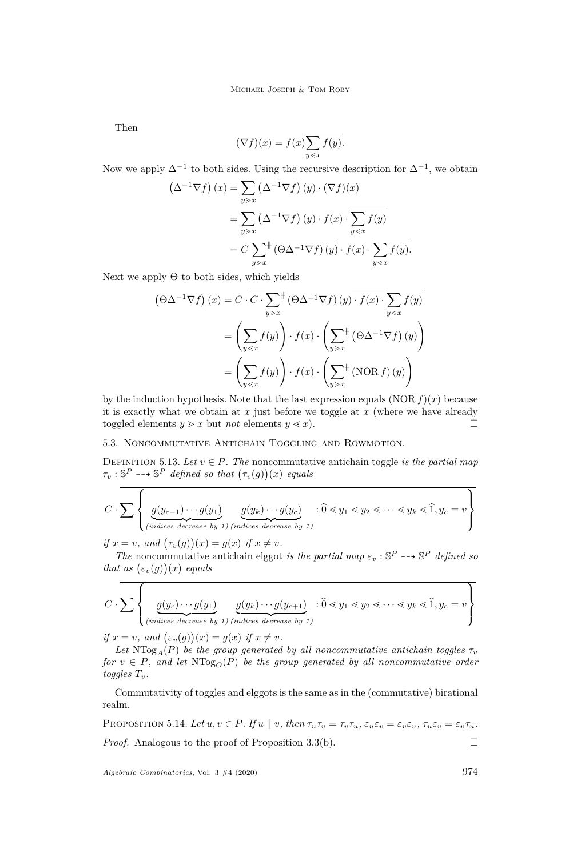Then

$$
(\nabla f)(x) = f(x) \overline{\sum_{y \le x} f(y)}.
$$

Now we apply  $\Delta^{-1}$  to both sides. Using the recursive description for  $\Delta^{-1}$ , we obtain

$$
\left(\Delta^{-1}\nabla f\right)(x) = \sum_{y>x} \left(\Delta^{-1}\nabla f\right)(y) \cdot (\nabla f)(x)
$$

$$
= \sum_{y>x} \left(\Delta^{-1}\nabla f\right)(y) \cdot f(x) \cdot \sum_{y
$$
= C \sum_{y>x}^{+} \left(\Theta\Delta^{-1}\nabla f\right)(y) \cdot f(x) \cdot \sum_{y
$$
$$

Next we apply  $\Theta$  to both sides, which yields

$$
\left(\Theta\Delta^{-1}\nabla f\right)(x) = C \cdot \overline{C} \cdot \overline{\sum_{y>x}^{+} (\Theta\Delta^{-1}\nabla f)(y)} \cdot f(x) \cdot \overline{\sum_{y\leq x} f(y)}
$$

$$
= \left(\sum_{y\leq x} f(y)\right) \cdot \overline{f(x)} \cdot \left(\sum_{y>x}^{+} (\Theta\Delta^{-1}\nabla f)(y)\right)
$$

$$
= \left(\sum_{y\leq x} f(y)\right) \cdot \overline{f(x)} \cdot \left(\sum_{y>x}^{+} (\text{NOR } f)(y)\right)
$$

by the induction hypothesis. Note that the last expression equals  $(NOR f)(x)$  because it is exactly what we obtain at *x* just before we toggle at *x* (where we have already toggled elements  $y \geq x$  but *not* elements  $y \leq x$ ).

### 5.3. Noncommutative Antichain Toggling and Rowmotion.

DEFINITION 5.13. Let  $v \in P$ . The noncommutative antichain toggle *is the partial map*  $\tau_v : \mathbb{S}^P \dashrightarrow \mathbb{S}^P$  *defined so that*  $(\tau_v(g))(x)$  *equals* 

$$
C \cdot \sum \left\{ \underbrace{g(y_{c-1}) \cdots g(y_1)}_{(indices \text{ decrease by } 1) \text{ (indices decrease by } 1)} \underbrace{g(y_k) \cdots g(y_c)}_{\text{decrease by } 1)} : \widehat{0} \leq y_1 \leq y_2 \leq \cdots \leq y_k \leq \widehat{1}, y_c = v \right\}
$$

*if*  $x = v$ *, and*  $(\tau_v(g))(x) = g(x)$  *if*  $x \neq v$ *.* 

 $\overline{\phantom{0}}$ 

 $\overline{\phantom{a}}$ 

*The* noncommutative antichain elggot *is the partial map*  $\varepsilon_v : \mathbb{S}^P \dashrightarrow \mathbb{S}^P$  *defined so that as*  $(\varepsilon_v(g))(x)$  *equals* 

$$
C \cdot \sum \left\{ \underbrace{g(y_c) \cdots g(y_1)}_{(indices \text{ decrease by 1}) \text{ (indices decrease by 1)}} \underbrace{g(y_k) \cdots g(y_{c+1})}_{(indices \text{ decrease by 1})} : \widehat{0} \leq y_1 \leq y_2 \leq \cdots \leq y_k \leq \widehat{1}, y_c = v \right\}
$$

 $if x = v$ *, and*  $(\varepsilon_v(g))(x) = g(x)$  *if*  $x \neq v$ *.* 

Let  $N \text{Log}_A(P)$  *be the group generated by all noncommutative antichain toggles*  $\tau_v$ *for*  $v \in P$ *, and let*  $NTog<sub>O</sub>(P)$  *be the group generated by all noncommutative order toggles*  $T_v$ *.* 

Commutativity of toggles and elggots is the same as in the (commutative) birational realm.

PROPOSITION 5.14. Let  $u, v \in P$ . If  $u \parallel v$ , then  $\tau_u \tau_v = \tau_v \tau_u$ ,  $\varepsilon_u \varepsilon_v = \varepsilon_v \varepsilon_u$ ,  $\tau_u \varepsilon_v = \varepsilon_v \tau_u$ . *Proof.* Analogous to the proof of Proposition [3.3](#page-9-3)[\(b\).](#page-9-2)

*Algebraic Combinatorics*, Vol. 3 #4 (2020) 974

 $\overline{1}$ 

 $\overline{\mathbf{r}}$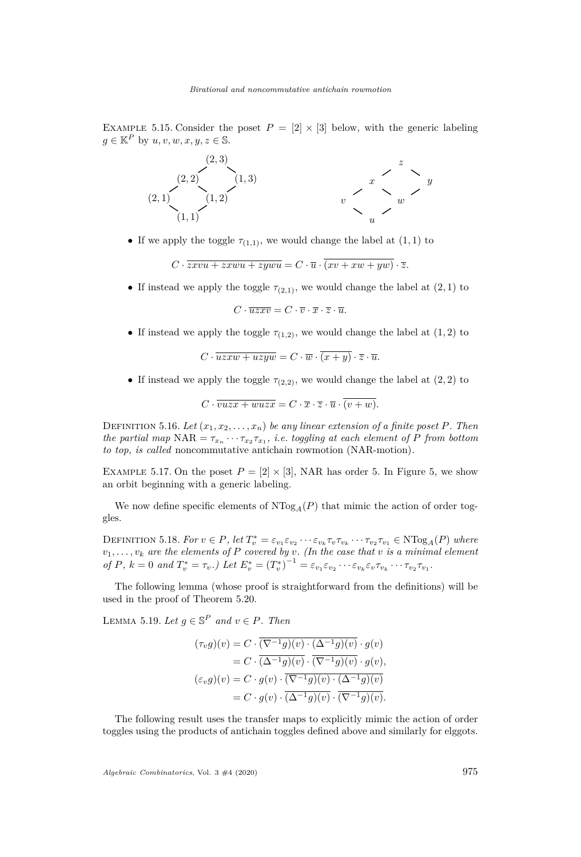EXAMPLE 5.15. Consider the poset  $P = \{2 \mid \times 3\}$  below, with the generic labeling  $g \in \mathbb{K}^P$  by  $u, v, w, x, y, z \in \mathbb{S}$ .



• If we apply the toggle  $\tau_{(1,1)}$ , we would change the label at  $(1,1)$  to

$$
C \cdot \overline{z x v u + z x w u + z y w u} = C \cdot \overline{u} \cdot \overline{(x v + x w + y w)} \cdot \overline{z}.
$$

• If instead we apply the toggle  $\tau_{(2,1)}$ , we would change the label at  $(2,1)$  to

 $C \cdot \overline{u} \overline{z} \overline{x} \overline{v} = C \cdot \overline{v} \cdot \overline{x} \cdot \overline{z} \cdot \overline{u}.$ 

• If instead we apply the toggle  $\tau_{(1,2)}$ , we would change the label at  $(1,2)$  to

$$
C \cdot \overline{uzxw + uzyw} = C \cdot \overline{w} \cdot (x+y) \cdot \overline{z} \cdot \overline{u}.
$$

• If instead we apply the toggle  $\tau_{(2,2)}$ , we would change the label at  $(2, 2)$  to

$$
C \cdot \overline{vuzx + wuzx} = C \cdot \overline{x} \cdot \overline{z} \cdot \overline{u} \cdot \overline{(v+w)}.
$$

DEFINITION 5.16. Let  $(x_1, x_2, \ldots, x_n)$  be any linear extension of a finite poset P. Then *the partial map*  $NAR = \tau_{x_n} \cdots \tau_{x_2} \tau_{x_1}$ , *i.e. toggling at each element of P from bottom to top, is called* noncommutative antichain rowmotion (NAR-motion)*.*

EXAMPLE 5.17. On the poset  $P = [2] \times [3]$ , NAR has order 5. In Figure [5,](#page-22-0) we show an orbit beginning with a generic labeling.

We now define specific elements of  $N\text{Log}_{A}(P)$  that mimic the action of order toggles.

DEFINITION 5.18. For  $v \in P$ , let  $T_v^* = \varepsilon_{v_1} \varepsilon_{v_2} \cdots \varepsilon_{v_k} \tau_v \tau_{v_k} \cdots \tau_{v_2} \tau_{v_1} \in \text{NTog}_A(P)$  where  $v_1, \ldots, v_k$  are the elements of P covered by  $v$ . (In the case that  $v$  is a minimal element of P,  $k = 0$  and  $T_v^* = \tau_v$ .) Let  $E_v^* = (T_v^*)^{-1} = \varepsilon_{v_1} \varepsilon_{v_2} \cdots \varepsilon_{v_k} \varepsilon_v \tau_{v_k} \cdots \tau_{v_2} \tau_{v_1}$ .

The following lemma (whose proof is straightforward from the definitions) will be used in the proof of Theorem [5.20.](#page-23-0)

<span id="page-21-0"></span>LEMMA 5.19. Let  $g \in \mathbb{S}^P$  and  $v \in P$ . Then

$$
(\tau_v g)(v) = C \cdot (\nabla^{-1} g)(v) \cdot (\Delta^{-1} g)(v) \cdot g(v)
$$
  
= C \cdot (\Delta^{-1} g)(v) \cdot (\nabla^{-1} g)(v) \cdot g(v),  

$$
(\varepsilon_v g)(v) = C \cdot g(v) \cdot (\nabla^{-1} g)(v) \cdot (\Delta^{-1} g)(v)
$$
  
= C \cdot g(v) \cdot (\Delta^{-1} g)(v) \cdot (\nabla^{-1} g)(v).

The following result uses the transfer maps to explicitly mimic the action of order toggles using the products of antichain toggles defined above and similarly for elggots.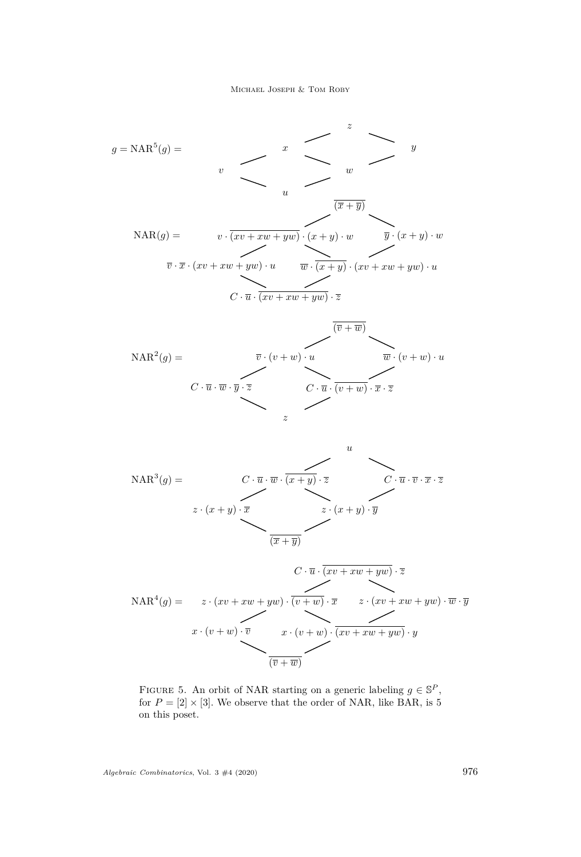$$
g = \text{NAR}^{5}(g) = \sum_{v} x
$$
\n
$$
w
$$
\n
$$
w
$$
\n
$$
w
$$
\n
$$
\overline{(x + \overline{y})}
$$
\n
$$
\overline{v} \cdot \overline{x} \cdot (xv + xw + yw) \cdot u
$$
\n
$$
\overline{v} \cdot \overline{x} \cdot (xv + xw + yw) \cdot u
$$
\n
$$
\overline{w} \cdot \overline{(x + y)} \cdot (xv + xw + yw) \cdot u
$$
\n
$$
\overline{w} \cdot \overline{(x + y)} \cdot (xv + xw + yw) \cdot u
$$
\n
$$
\overline{w} \cdot \overline{(xv + xw + yw)} \cdot \overline{z}
$$

$$
\text{NAR}^{2}(g) = \overline{v} \cdot (v+w) \cdot u \qquad \overline{w} \cdot (v+w) \cdot u
$$
\n
$$
C \cdot \overline{u} \cdot \overline{w} \cdot \overline{y} \cdot \overline{z} \qquad \overline{C \cdot \overline{u} \cdot (v+w) \cdot x} \cdot \overline{z}
$$
\n
$$
z
$$

$$
\text{NAR}^{3}(g) = C \cdot \overline{u} \cdot \overline{w} \cdot \overline{(x+y)} \cdot \overline{z}
$$
\n
$$
z \cdot (x+y) \cdot \overline{x}
$$
\n
$$
\overline{(x+\overline{y})}
$$
\n
$$
z \cdot (x+y) \cdot \overline{y}
$$
\n
$$
\overline{(x+\overline{y})}
$$

$$
C \cdot \overline{u} \cdot (xv + xw + yw) \cdot \overline{z}
$$
  
\n
$$
\text{NAR}^4(g) = z \cdot (xv + xw + yw) \cdot \overline{(v+w)} \cdot \overline{x} \qquad z \cdot (xv + xw + yw) \cdot \overline{w} \cdot \overline{y}
$$
  
\n
$$
x \cdot (v+w) \cdot \overline{v} \qquad x \cdot (v+w) \cdot \overline{(xv + xw + yw)} \cdot y
$$
  
\n
$$
\overline{(\overline{v} + \overline{w})}
$$

<span id="page-22-0"></span>FIGURE 5. An orbit of NAR starting on a generic labeling  $g \in \mathbb{S}^P$ , for  $P = [2] \times [3]$ . We observe that the order of NAR, like BAR, is 5 on this poset.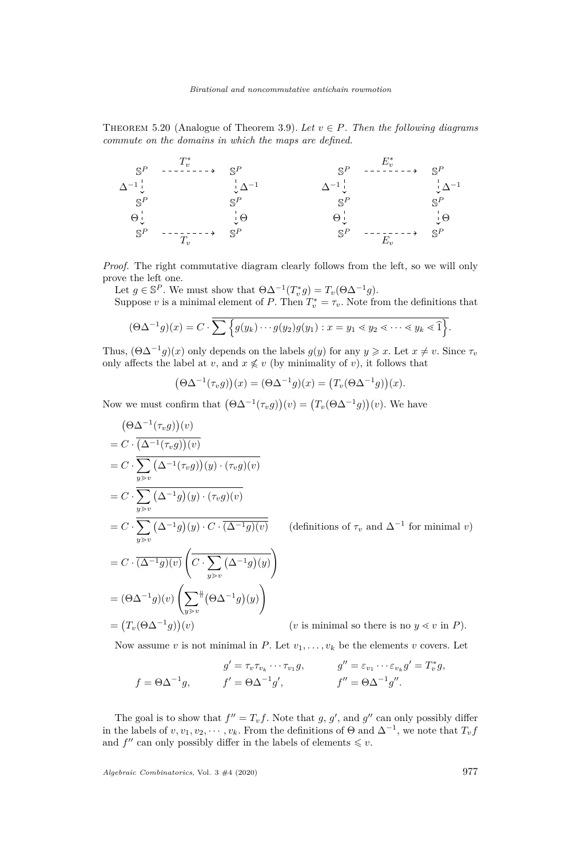<span id="page-23-0"></span>THEOREM 5.20 (Analogue of Theorem [3.9\)](#page-12-1). Let  $v \in P$ . Then the following diagrams *commute on the domains in which the maps are defined.*

$$
\begin{array}{ccccccc}\nS^P & - & \xrightarrow{T_v^*} & S^P & & S^P & - & \xrightarrow{E_v^*} & S^P \\
\Delta^{-1} & & & \downarrow \Delta^{-1} & & & \downarrow \Delta^{-1} & & \downarrow \Delta^{-1} \\
S^P & & & S^P & & S^P & & S^P \\
\Theta^{\perp}_{\downarrow} & & & \downarrow \Theta & & & \Theta^{\perp}_{\downarrow} & & \downarrow \Theta \\
S^P & - & & \searrow & & S^P & & S^P \\
\end{array}
$$

*Proof.* The right commutative diagram clearly follows from the left, so we will only prove the left one.

Let  $g \in \mathbb{S}^P$ . We must show that  $\Theta \Delta^{-1}(T_v^* g) = T_v(\Theta \Delta^{-1} g)$ . Suppose *v* is a minimal element of *P*. Then  $T_v^* = \tau_v$ . Note from the definitions that

$$
(\Theta \Delta^{-1} g)(x) = C \cdot \sum \left\{ g(y_k) \cdots g(y_2) g(y_1) : x = y_1 \le y_2 \le \cdots \le y_k \le \widehat{1} \right\}.
$$

Thus,  $(\Theta \Delta^{-1} g)(x)$  only depends on the labels  $g(y)$  for any  $y \geq x$ . Let  $x \neq v$ . Since  $\tau_v$ only affects the label at *v*, and  $x \notin v$  (by minimality of *v*), it follows that

$$
(\Theta \Delta^{-1}(\tau_v g))(x) = (\Theta \Delta^{-1}g)(x) = (T_v(\Theta \Delta^{-1}g))(x).
$$

Now we must confirm that  $(\Theta \Delta^{-1}(\tau_v g))(v) = (T_v(\Theta \Delta^{-1} g))(v)$ . We have

$$
(\Theta \Delta^{-1}(\tau_v g))(v)
$$
  
=  $C \cdot \overline{(\Delta^{-1}(\tau_v g))(v)}$   
=  $C \cdot \overline{\sum_{y>v} (\Delta^{-1}(\tau_v g))(y) \cdot (\tau_v g)(v)}$   
=  $C \cdot \overline{\sum_{y>v} (\Delta^{-1}g)(y) \cdot (\tau_v g)(v)}$   
=  $C \cdot \overline{\sum_{y>v} (\Delta^{-1}g)(y) \cdot C \cdot (\Delta^{-1}g)(v)}$  (definitions of  $\tau_v$  and  $\Delta^{-1}$  for minimal  $v$ )  
=  $C \cdot \overline{(\Delta^{-1}g)(v)} \left(\overline{C \cdot \sum_{y>v} (\Delta^{-1}g)(y)}\right)$   
=  $(\Theta \Delta^{-1}g)(v) \left(\sum_{y>v}^{\#} (\Theta \Delta^{-1}g)(y)\right)$   
=  $(T_v(\Theta \Delta^{-1}g))(v)$  ( $v$  is minimal so there is no  $y \ll v$  in  $P$ ).

Now assume *v* is not minimal in *P*. Let  $v_1, \ldots, v_k$  be the elements *v* covers. Let

$$
g' = \tau_v \tau_{v_k} \cdots \tau_{v_1} g, \qquad g'' = \varepsilon_{v_1} \cdots \varepsilon_{v_k} g' = T_v^* g,
$$
  

$$
f' = \Theta \Delta^{-1} g', \qquad f'' = \Theta \Delta^{-1} g''.
$$

The goal is to show that  $f'' = T_v f$ . Note that *g*, *g*', and *g*'' can only possibly differ in the labels of  $v, v_1, v_2, \cdots, v_k$ . From the definitions of  $\Theta$  and  $\Delta^{-1}$ , we note that  $T_v f$ and  $f''$  can only possibly differ in the labels of elements  $\leq v$ .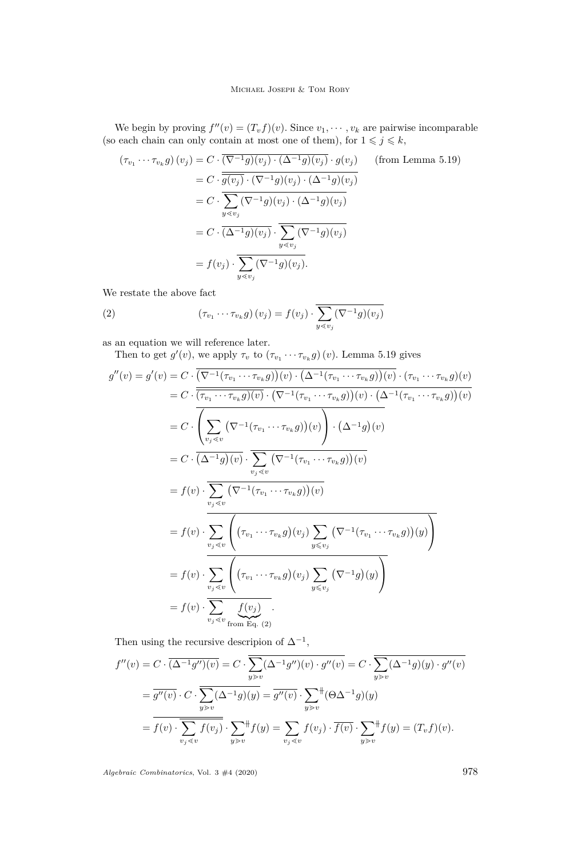We begin by proving  $f''(v) = (T_v f)(v)$ . Since  $v_1, \dots, v_k$  are pairwise incomparable (so each chain can only contain at most one of them), for  $1 \leq j \leq k$ ,

$$
(\tau_{v_1} \cdots \tau_{v_k} g) (v_j) = C \cdot \frac{(\nabla^{-1} g)(v_j) \cdot (\Delta^{-1} g)(v_j) \cdot g(v_j)}{g(v_j) \cdot (\nabla^{-1} g)(v_j) \cdot (\Delta^{-1} g)(v_j)}
$$
 (from Lemma 5.19)  

$$
= C \cdot \frac{\sum_{y \le v_j} (\nabla^{-1} g)(v_j) \cdot (\Delta^{-1} g)(v_j)}{g(v_j)}
$$

$$
= C \cdot \frac{(\Delta^{-1} g)(v_j) \cdot \sum_{y \le v_j} (\nabla^{-1} g)(v_j)}{g(v_j)}
$$

$$
= f(v_j) \cdot \frac{\sum_{y \le v_j} (\nabla^{-1} g)(v_j)}{g(v_j)}
$$

We restate the above fact

<span id="page-24-0"></span>(2) 
$$
(\tau_{v_1} \cdots \tau_{v_k} g) (v_j) = f(v_j) \cdot \overline{\sum_{y \le v_j} (\nabla^{-1} g) (v_j)}
$$

as an equation we will reference later.

Then to get  $g'(v)$ , we apply  $\tau_v$  to  $(\tau_{v_1} \cdots \tau_{v_k} g)(v)$ . Lemma [5.19](#page-21-0) gives

$$
g''(v) = g'(v) = C \cdot \left(\nabla^{-1}(\tau_{v_1} \cdots \tau_{v_k}g)\right)(v) \cdot \left(\Delta^{-1}(\tau_{v_1} \cdots \tau_{v_k}g)\right)(v) \cdot (\tau_{v_1} \cdots \tau_{v_k}g)(v)
$$
  
\n
$$
= C \cdot \overline{(\tau_{v_1} \cdots \tau_{v_k}g)(v)} \cdot \left(\nabla^{-1}(\tau_{v_1} \cdots \tau_{v_k}g)\right)(v) \cdot \left(\Delta^{-1}(\tau_{v_1} \cdots \tau_{v_k}g)\right)(v)}
$$
  
\n
$$
= C \cdot \overline{\left(\sum_{v_j \leq v} \left(\nabla^{-1}(\tau_{v_1} \cdots \tau_{v_k}g)\right)(v)\right) \cdot \left(\Delta^{-1}g\right)(v)}
$$
  
\n
$$
= C \cdot \overline{(\Delta^{-1}g)(v)} \cdot \overline{\sum_{v_j \leq v} \left(\nabla^{-1}(\tau_{v_1} \cdots \tau_{v_k}g)\right)(v)}
$$
  
\n
$$
= f(v) \cdot \overline{\sum_{v_j \leq v} \left(\nabla^{-1}(\tau_{v_1} \cdots \tau_{v_k}g)(v_j)\sum_{y \leq v_j} \left(\nabla^{-1}(\tau_{v_1} \cdots \tau_{v_k}g)(y)\right)\right)}
$$
  
\n
$$
= f(v) \cdot \overline{\sum_{v_j \leq v} \left(\nabla_{v_1} \cdots \tau_{v_k}g\right)(v_j)\sum_{y \leq v_j} \left(\nabla^{-1}(\tau_{v_1} \cdots \tau_{v_k}g)(y)\right)}
$$
  
\n
$$
= f(v) \cdot \overline{\sum_{v_j \leq v} \left(\nabla_{v_1} \cdots \tau_{v_k}g\right)(v_j)\sum_{y \leq v_j} \left(\nabla^{-1}g\right)(y)}
$$
  
\n
$$
= f(v) \cdot \overline{\sum_{v_j \leq v} \underbrace{f(v_j)}_{\text{from Eq. (2)}}.
$$

Then using the recursive descripion of  $\Delta^{-1}$ ,

$$
f''(v) = C \cdot \overline{(\Delta^{-1}g'')(v)} = C \cdot \overline{\sum_{y>v} (\Delta^{-1}g'')(v) \cdot g''(v)} = C \cdot \overline{\sum_{y>v} (\Delta^{-1}g)(y) \cdot g''(v)}
$$

$$
= \overline{g''(v)} \cdot C \cdot \overline{\sum_{y>v} (\Delta^{-1}g)(y)} = \overline{g''(v)} \cdot \sum_{y>v}^{\#} (\Theta \Delta^{-1}g)(y)
$$

$$
= \overline{f(v)} \cdot \overline{\sum_{v_j \le v} f(v_j)} \cdot \sum_{y>v}^{\#} f(y) = \sum_{v_j \le v} f(v_j) \cdot \overline{f(v)} \cdot \sum_{y>v}^{\#} f(y) = (T_v f)(v).
$$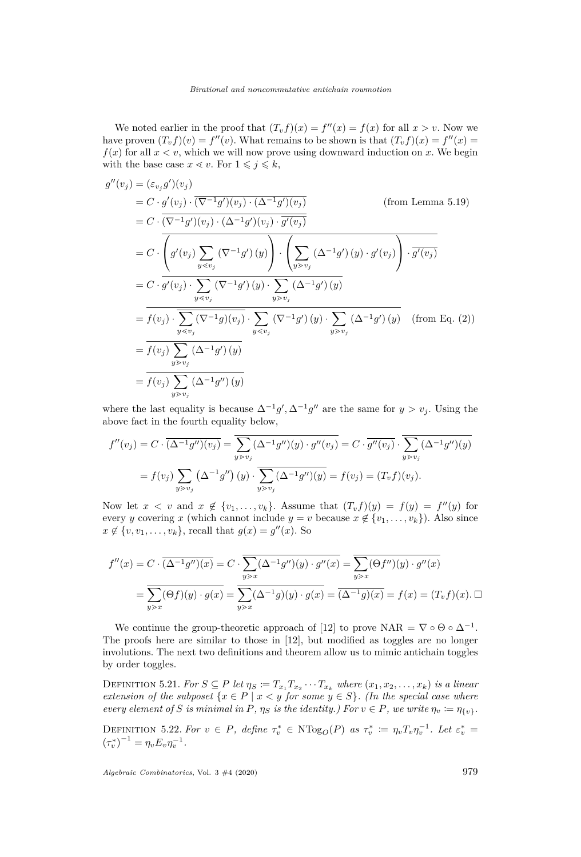We noted earlier in the proof that  $(T_v f)(x) = f''(x) = f(x)$  for all  $x > v$ . Now we have proven  $(T_v f)(v) = f''(v)$ . What remains to be shown is that  $(T_v f)(x) = f''(x)$  $f(x)$  for all  $x < v$ , which we will now prove using downward induction on x. We begin with the base case  $x \leq v$ . For  $1 \leq j \leq k$ ,

$$
g''(v_j) = (\varepsilon_{v_j} g')(v_j)
$$
  
\n
$$
= C \cdot g'(v_j) \cdot (\overline{(\nabla^{-1} g')(v_j) \cdot (\Delta^{-1} g')(v_j)})
$$
 (from Lemma 5.19)  
\n
$$
= C \cdot \overline{(\nabla^{-1} g')(v_j) \cdot (\Delta^{-1} g')(v_j) \cdot g'(v_j)}
$$
  
\n
$$
= C \cdot \overline{\left(g'(v_j) \sum_{y \le v_j} (\nabla^{-1} g')(y) \right) \cdot \left(\sum_{y \ge v_j} (\Delta^{-1} g')(y) \cdot g'(v_j) \right) \cdot g'(v_j)}
$$
  
\n
$$
= C \cdot g'(v_j) \cdot \sum_{y \le v_j} (\nabla^{-1} g')(y) \cdot \sum_{y \ge v_j} (\Delta^{-1} g')(y)
$$
  
\n
$$
= \overline{f(v_j) \cdot \sum_{y \le v_j} (\nabla^{-1} g)(v_j)} \cdot \sum_{y \le v_j} (\nabla^{-1} g')(y) \cdot \sum_{y \ge v_j} (\Delta^{-1} g')(y)
$$
  
\n
$$
= \overline{f(v_j) \sum_{y \ge v_j} (\Delta^{-1} g')(y)}
$$
  
\n
$$
= \overline{f(v_j) \sum_{y \ge v_j} (\Delta^{-1} g')(y)}
$$
  
\n
$$
= \overline{f(v_j) \sum_{y \ge v_j} (\Delta^{-1} g'')(y)}
$$

where the last equality is because  $\Delta^{-1}g'$ ,  $\Delta^{-1}g''$  are the same for  $y > v_j$ . Using the above fact in the fourth equality below,

$$
f''(v_j) = C \cdot \overline{(\Delta^{-1}g'')(v_j)} = \overline{\sum_{y \ge v_j} (\Delta^{-1}g'')(y) \cdot g''(v_j)} = C \cdot \overline{g''(v_j)} \cdot \overline{\sum_{y \ge v_j} (\Delta^{-1}g'')(y)}
$$
  
=  $f(v_j) \sum_{y \ge v_j} (\Delta^{-1}g'')(y) \cdot \overline{\sum_{y \ge v_j} (\Delta^{-1}g'')(y)} = f(v_j) = (T_v f)(v_j).$ 

Now let  $x < v$  and  $x \notin \{v_1, \ldots, v_k\}$ . Assume that  $(T_v f)(y) = f(y) = f''(y)$  for every *y* covering *x* (which cannot include  $y = v$  because  $x \notin \{v_1, \ldots, v_k\}$ ). Also since  $x \notin \{v, v_1, \ldots, v_k\}$ , recall that  $g(x) = g''(x)$ . So

$$
f''(x) = C \cdot \overline{(\Delta^{-1}g'')(x)} = C \cdot \overline{\sum_{y \gtrdot x} (\Delta^{-1}g'')(y) \cdot g''(x)} = \overline{\sum_{y \gtrdot x} (\Theta f'')(y) \cdot g''(x)}
$$

$$
= \overline{\sum_{y \gtrdot x} (\Theta f)(y) \cdot g(x)} = \overline{\sum_{y \gtrdot x} (\Delta^{-1}g)(y) \cdot g(x)} = \overline{(\Delta^{-1}g)(x)} = f(x) = (T_v f)(x). \Box
$$

We continue the group-theoretic approach of [\[12\]](#page-30-19) to prove NAR =  $\nabla \circ \Theta \circ \Delta^{-1}$ . The proofs here are similar to those in [\[12\]](#page-30-19), but modified as toggles are no longer involutions. The next two definitions and theorem allow us to mimic antichain toggles by order toggles.

DEFINITION 5.21. For  $S \subseteq P$  let  $\eta_S := T_{x_1} T_{x_2} \cdots T_{x_k}$  where  $(x_1, x_2, \ldots, x_k)$  is a linear *extension of the subposet*  $\{x \in P \mid x < y \text{ for some } y \in S\}$ . (In the special case where *every element of S is minimal in P,*  $\eta_S$  *is the identity.) For*  $v \in P$ *, we write*  $\eta_v := \eta_{\{v\}}$ *.* 

DEFINITION 5.22. For  $v \in P$ , define  $\tau_v^* \in N \text{Log}_O(P)$  as  $\tau_v^* := \eta_v T_v \eta_v^{-1}$ . Let  $\varepsilon_v^* =$  $(\tau_v^*)^{-1} = \eta_v E_v \eta_v^{-1}.$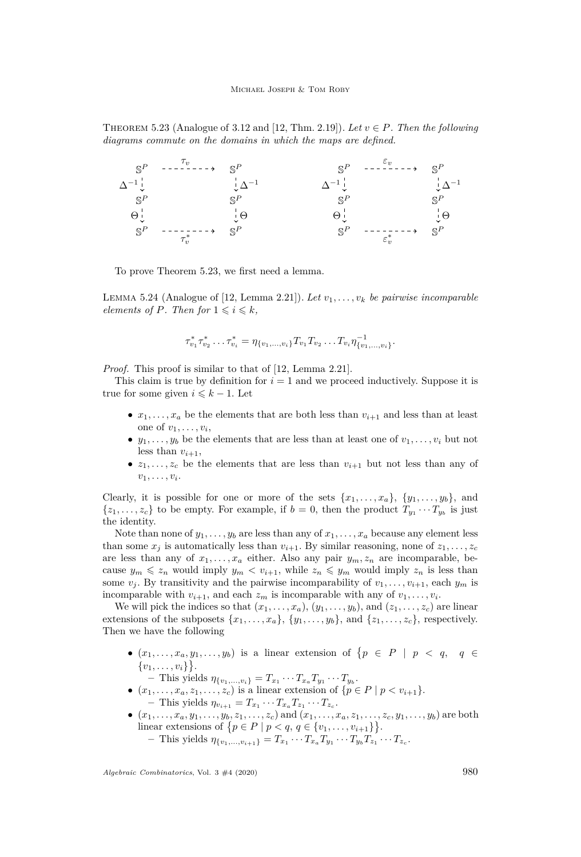<span id="page-26-0"></span>THEOREM 5.23 (Analogue of [3.12](#page-15-1) and [\[12,](#page-30-19) Thm. 2.19]). Let  $v \in P$ . Then the following *diagrams commute on the domains in which the maps are defined.*



To prove Theorem [5.23,](#page-26-0) we first need a lemma.

<span id="page-26-1"></span>LEMMA 5.24 (Analogue of [\[12,](#page-30-19) Lemma 2.21]). *Let*  $v_1, \ldots, v_k$  *be pairwise incomparable elements of P. Then for*  $1 \leq i \leq k$ *,* 

$$
\tau_{v_1}^* \tau_{v_2}^* \dots \tau_{v_i}^* = \eta_{\{v_1, \dots, v_i\}} T_{v_1} T_{v_2} \dots T_{v_i} \eta_{\{v_1, \dots, v_i\}}^{-1}.
$$

*Proof.* This proof is similar to that of [\[12,](#page-30-19) Lemma 2.21].

This claim is true by definition for *i* = 1 and we proceed inductively. Suppose it is true for some given  $i \leq k - 1$ . Let

- $x_1, \ldots, x_a$  be the elements that are both less than  $v_{i+1}$  and less than at least one of  $v_1, \ldots, v_i$ ,
- $y_1, \ldots, y_b$  be the elements that are less than at least one of  $v_1, \ldots, v_i$  but not less than  $v_{i+1}$ ,
- $z_1, \ldots, z_c$  be the elements that are less than  $v_{i+1}$  but not less than any of  $v_1, \ldots, v_i.$

Clearly, it is possible for one or more of the sets  $\{x_1, \ldots, x_a\}$ ,  $\{y_1, \ldots, y_b\}$ , and  $\{z_1, \ldots, z_c\}$  to be empty. For example, if  $b = 0$ , then the product  $T_{y_1} \cdots T_{y_b}$  is just the identity.

Note than none of  $y_1, \ldots, y_b$  are less than any of  $x_1, \ldots, x_a$  because any element less than some  $x_j$  is automatically less than  $v_{i+1}$ . By similar reasoning, none of  $z_1, \ldots, z_c$ are less than any of  $x_1, \ldots, x_a$  either. Also any pair  $y_m, z_n$  are incomparable, because  $y_m \leq z_n$  would imply  $y_m < v_{i+1}$ , while  $z_n \leq y_m$  would imply  $z_n$  is less than some  $v_j$ . By transitivity and the pairwise incomparability of  $v_1, \ldots, v_{i+1}$ , each  $y_m$  is incomparable with  $v_{i+1}$ , and each  $z_m$  is incomparable with any of  $v_1, \ldots, v_i$ .

We will pick the indices so that  $(x_1, \ldots, x_a), (y_1, \ldots, y_b)$ , and  $(z_1, \ldots, z_c)$  are linear extensions of the subposets  $\{x_1, \ldots, x_a\}$ ,  $\{y_1, \ldots, y_b\}$ , and  $\{z_1, \ldots, z_c\}$ , respectively. Then we have the following

- $(x_1, \ldots, x_a, y_1, \ldots, y_b)$  is a linear extension of  $\{p \in P \mid p < q, q \in$  $\{v_1, \ldots, v_i\}\}.$ 
	- $-$  This yields  $\eta_{\{v_1,...,v_i\}} = T_{x_1} \cdots T_{x_a} T_{y_1} \cdots T_{y_b}$ .
- $(x_1, \ldots, x_a, z_1, \ldots, z_c)$  is a linear extension of  $\{p \in P \mid p < v_{i+1}\}.$  $-$  This yields  $\eta_{v_{i+1}} = T_{x_1} \cdots T_{x_a} T_{z_1} \cdots T_{z_c}$ .
- $(x_1, ..., x_a, y_1, ..., y_b, z_1, ..., z_c)$  and  $(x_1, ..., x_a, z_1, ..., z_c, y_1, ..., y_b)$  are both linear extensions of  $\{p \in P \mid p < q, q \in \{v_1, \ldots, v_{i+1}\}\}.$ 
	- $-$  This yields  $\eta_{\{v_1, ..., v_{i+1}\}} = T_{x_1} \cdots T_{x_a} T_{y_1} \cdots T_{y_b} T_{z_1} \cdots T_{z_c}$ .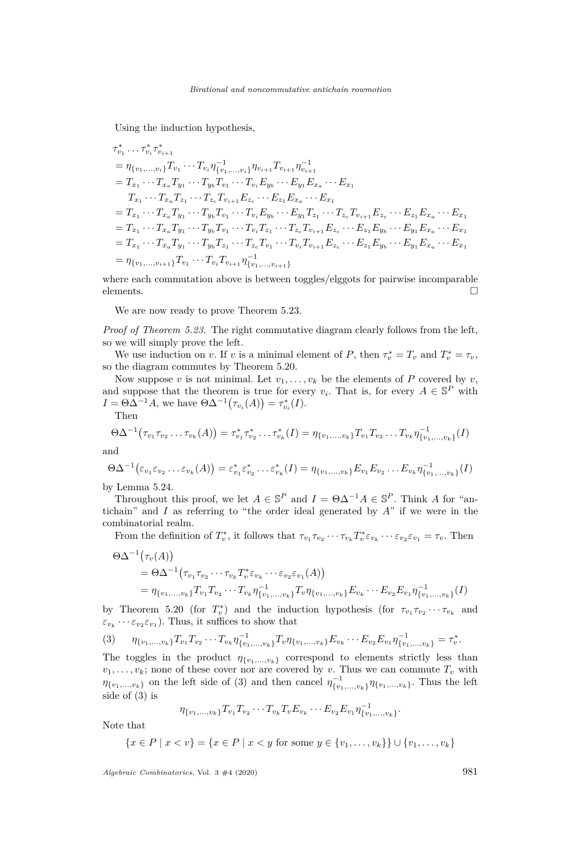Using the induction hypothesis,

$$
\tau_{v_1}^* \dots \tau_{v_i}^* \tau_{v_{i+1}}^*
$$
\n
$$
= \eta_{\{v_1, \dots, v_i\}} T_{v_1} \dots T_{v_i} \eta_{\{v_1, \dots, v_i\}}^{-1} \eta_{v_{i+1}} T_{v_{i+1}} \eta_{v_{i+1}}^{-1}
$$
\n
$$
= T_{x_1} \dots T_{x_a} T_{y_1} \dots T_{y_b} T_{v_1} \dots T_{v_i} E_{y_b} \dots E_{y_1} E_{x_a} \dots E_{x_1}
$$
\n
$$
T_{x_1} \dots T_{x_a} T_{z_1} \dots T_{z_c} T_{v_{i+1}} E_{z_c} \dots E_{z_1} E_{x_a} \dots E_{x_1}
$$
\n
$$
= T_{x_1} \dots T_{x_a} T_{y_1} \dots T_{y_b} T_{v_1} \dots T_{v_i} E_{y_b} \dots E_{y_1} T_{z_1} \dots T_{z_c} T_{v_{i+1}} E_{z_c} \dots E_{z_1} E_{x_a} \dots E_{x_1}
$$
\n
$$
= T_{x_1} \dots T_{x_a} T_{y_1} \dots T_{y_b} T_{v_1} \dots T_{v_i} T_{z_1} \dots T_{z_c} T_{v_{i+1}} E_{z_c} \dots E_{z_1} E_{y_b} \dots E_{y_1} E_{x_a} \dots E_{x_1}
$$
\n
$$
= T_{x_1} \dots T_{x_a} T_{y_1} \dots T_{y_b} T_{z_1} \dots T_{z_c} T_{v_1} \dots T_{v_i} T_{v_{i+1}} E_{z_c} \dots E_{z_1} E_{y_b} \dots E_{y_1} E_{x_a} \dots E_{x_1}
$$
\n
$$
= \eta_{\{v_1, \dots, v_{i+1}\}} T_{v_1} \dots T_{v_i} T_{v_{i+1}} \eta_{\{v_1, \dots, v_{i+1}\}}^{-1}
$$

where each commutation above is between toggles/elggots for pairwise incomparable elements.  $\square$ 

We are now ready to prove Theorem [5.23.](#page-26-0)

*Proof of Theorem [5.23.](#page-26-0)* The right commutative diagram clearly follows from the left, so we will simply prove the left.

We use induction on *v*. If *v* is a minimal element of *P*, then  $\tau_v^* = T_v$  and  $T_v^* = \tau_v$ , so the diagram commutes by Theorem [5.20.](#page-23-0)

Now suppose *v* is not minimal. Let  $v_1, \ldots, v_k$  be the elements of *P* covered by *v*, and suppose that the theorem is true for every  $v_i$ . That is, for every  $A \in \mathbb{S}^P$  with  $I = \Theta \Delta^{-1} A$ , we have  $\Theta \Delta^{-1} (\tau_{v_i}(A)) = \tau_{v_i}^*(I)$ .

Then

$$
\Theta \Delta^{-1}(\tau_{v_1} \tau_{v_2} \ldots \tau_{v_k}(A)) = \tau_{v_1}^* \tau_{v_2}^* \ldots \tau_{v_k}^*(I) = \eta_{\{v_1, \ldots, v_k\}} T_{v_1} T_{v_2} \ldots T_{v_k} \eta_{\{v_1, \ldots, v_k\}}^{-1}(I)
$$

and

$$
\Theta \Delta^{-1} (\varepsilon_{v_1} \varepsilon_{v_2} \dots \varepsilon_{v_k} (A)) = \varepsilon_{v_1}^* \varepsilon_{v_2}^* \dots \varepsilon_{v_k}^* (I) = \eta_{\{v_1, \dots, v_k\}} E_{v_1} E_{v_2} \dots E_{v_k} \eta_{\{v_1, \dots, v_k\}}^{-1} (I)
$$

by Lemma [5.24.](#page-26-1)

Throughout this proof, we let  $A \in \mathbb{S}^P$  and  $I = \Theta \Delta^{-1} A \in \mathbb{S}^P$ . Think *A* for "antichain" and *I* as referring to "the order ideal generated by *A*" if we were in the combinatorial realm.

From the definition of  $T_v^*$ , it follows that  $\tau_{v_1}\tau_{v_2}\cdots\tau_{v_k}T_v^*\varepsilon_{v_k}\cdots\varepsilon_{v_2}\varepsilon_{v_1}=\tau_v$ . Then

$$
\Theta \Delta^{-1} (\tau_v(A))
$$
  
=  $\Theta \Delta^{-1} (\tau_{v_1} \tau_{v_2} \cdots \tau_{v_k} T_v^* \varepsilon_{v_k} \cdots \varepsilon_{v_2} \varepsilon_{v_1}(A))$   
=  $\eta_{\{v_1,\ldots,v_k\}} T_{v_1} T_{v_2} \cdots T_{v_k} \eta_{\{v_1,\ldots,v_k\}}^{-1} T_v \eta_{\{v_1,\ldots,v_k\}} E_{v_k} \cdots E_{v_2} E_{v_1} \eta_{\{v_1,\ldots,v_k\}}^{-1}(I)$ 

by Theorem [5.20](#page-23-0) (for  $T_v^*$ ) and the induction hypothesis (for  $\tau_{v_1} \tau_{v_2} \cdots \tau_{v_k}$  and  $\varepsilon_{v_k} \cdots \varepsilon_{v_2} \varepsilon_{v_1}$ ). Thus, it suffices to show that

<span id="page-27-0"></span>
$$
(3) \qquad \eta_{\{v_1,\ldots,v_k\}} T_{v_1} T_{v_2} \cdots T_{v_k} \eta_{\{v_1,\ldots,v_k\}}^{-1} T_v \eta_{\{v_1,\ldots,v_k\}} E_{v_k} \cdots E_{v_2} E_{v_1} \eta_{\{v_1,\ldots,v_k\}}^{-1} = \tau_v^*.
$$

The toggles in the product  $\eta_{\{v_1,\ldots,v_k\}}$  correspond to elements strictly less than  $v_1, \ldots, v_k$ ; none of these cover nor are covered by *v*. Thus we can commute  $T_v$  with  $\eta_{\{v_1,\dots,v_k\}}$  on the left side of [\(3\)](#page-27-0) and then cancel  $\eta_{\{v_1,\dots,v_k\}}^{-1} \eta_{\{v_1,\dots,v_k\}}$ . Thus the left side of [\(3\)](#page-27-0) is

$$
\eta_{\{v_1,\ldots,v_k\}}T_{v_1}T_{v_2}\cdots T_{v_k}T_vE_{v_k}\cdots E_{v_2}E_{v_1}\eta_{\{v_1,\ldots,v_k\}}^{-1}.
$$

Note that

$$
\{x \in P \mid x < v\} = \{x \in P \mid x < y \text{ for some } y \in \{v_1, \dots, v_k\}\} \cup \{v_1, \dots, v_k\}
$$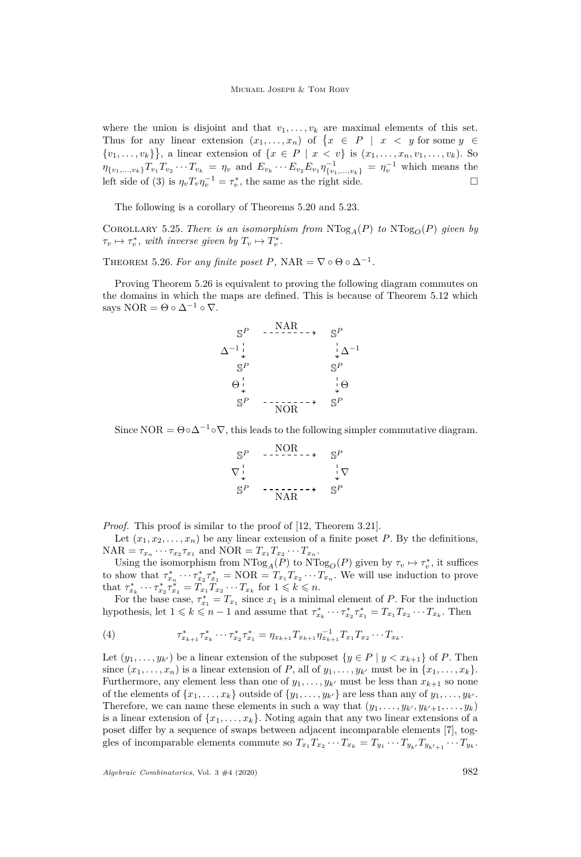where the union is disjoint and that  $v_1, \ldots, v_k$  are maximal elements of this set. Thus for any linear extension  $(x_1, \ldots, x_n)$  of  $\{x \in P \mid x < y \text{ for some } y \in$  $\{v_1, \ldots, v_k\}$ , a linear extension of  $\{x \in P \mid x < v\}$  is  $(x_1, \ldots, x_n, v_1, \ldots, v_k)$ . So  $\eta_{\{v_1,\dots,v_k\}}T_{v_1}T_{v_2}\cdots T_{v_k} = \eta_v$  and  $E_{v_k}\cdots E_{v_2}E_{v_1}\eta_{\{v_1,\dots,v_k\}}^{-1} = \eta_v^{-1}$  which means the left side of [\(3\)](#page-27-0) is  $\eta_v T_v \eta_v^{-1} = \tau_v^*$ , the same as the right side.

The following is a corollary of Theorems [5.20](#page-23-0) and [5.23.](#page-26-0)

COROLLARY 5.25. *There is an isomorphism from*  $NTog_A(P)$  *to*  $NTog_O(P)$  *given by*  $\tau_v \mapsto \tau_v^*$ , with inverse given by  $T_v \mapsto T_v^*$ .

<span id="page-28-0"></span>THEOREM 5.26. For any finite poset P, NAR =  $\nabla \circ \Theta \circ \Delta^{-1}$ .

Proving Theorem [5.26](#page-28-0) is equivalent to proving the following diagram commutes on the domains in which the maps are defined. This is because of Theorem [5.12](#page-19-0) which says NOR =  $\Theta \circ \Delta^{-1} \circ \nabla$ .

$$
S^{P} \xrightarrow{\text{NAR}} S^{P}
$$
\n
$$
\Delta^{-1} \downarrow \qquad \qquad \downarrow \Delta^{-1}
$$
\n
$$
S^{P} \qquad S^{P}
$$
\n
$$
\Theta \downarrow \qquad \qquad \downarrow \Theta
$$
\n
$$
S^{P} \qquad \qquad \downarrow \Theta
$$
\n
$$
S^{P} \qquad \qquad \downarrow \Theta
$$
\n
$$
S^{P} \qquad \qquad \downarrow \Theta
$$
\n
$$
S^{P} \qquad \qquad \downarrow \Theta
$$
\n
$$
S^{P} \qquad \qquad \downarrow \Theta
$$

Since NOR =  $\Theta \circ \Delta^{-1} \circ \nabla$ , this leads to the following simpler commutative diagram.

$$
\begin{array}{ccc}\nS^P & -\xrightarrow{\text{NOR}} & S^P \\
\nabla^{\perp}_{\downarrow} & & \downarrow \nabla \\
S^P & -\xrightarrow{\text{NAR}} & S^P\n\end{array}
$$

*Proof.* This proof is similar to the proof of [\[12,](#page-30-19) Theorem 3.21].

Let  $(x_1, x_2, \ldots, x_n)$  be any linear extension of a finite poset *P*. By the definitions,  $NAR = \tau_{x_n} \cdots \tau_{x_2} \tau_{x_1}$  and  $NOR = T_{x_1} T_{x_2} \cdots T_{x_n}$ .

Using the isomorphism from  $NTog_A(P)$  to  $NTog_O(P)$  given by  $\tau_v \mapsto \tau_v^*$ , it suffices to show that  $\tau_{x_n}^* \cdots \tau_{x_2}^* \tau_{x_1}^* = \text{NOR} = T_{x_1} T_{x_2} \cdots T_{x_n}$ . We will use induction to prove that  $\tau_{x_k}^* \cdots \tau_{x_2}^* \tau_{x_1}^* = T_{x_1}^2 T_{x_2} \cdots T_{x_k}$  for  $1 \leqslant k \leqslant n$ .

For the base case,  $\tau_{x_1}^* = T_{x_1}$  since  $x_1$  is a minimal element of *P*. For the induction hypothesis, let  $1 \leq k \leq n-1$  and assume that  $\tau_{x_k}^* \cdots \tau_{x_2}^* \tau_{x_1}^* = T_{x_1} T_{x_2} \cdots T_{x_k}$ . Then

<span id="page-28-1"></span>(4) 
$$
\tau_{x_{k+1}}^* \tau_{x_k}^* \cdots \tau_{x_2}^* \tau_{x_1}^* = \eta_{x_{k+1}} T_{x_{k+1}} \eta_{x_{k+1}}^{-1} T_{x_1} T_{x_2} \cdots T_{x_k}.
$$

Let  $(y_1, \ldots, y_{k'})$  be a linear extension of the subposet  $\{y \in P \mid y < x_{k+1}\}$  of *P*. Then since  $(x_1, \ldots, x_n)$  is a linear extension of *P*, all of  $y_1, \ldots, y_{k'}$  must be in  $\{x_1, \ldots, x_k\}$ . Furthermore, any element less than one of  $y_1, \ldots, y_{k'}$  must be less than  $x_{k+1}$  so none of the elements of  $\{x_1, \ldots, x_k\}$  outside of  $\{y_1, \ldots, y_{k'}\}$  are less than any of  $y_1, \ldots, y_{k'}$ . Therefore, we can name these elements in such a way that  $(y_1, \ldots, y_{k'}, y_{k'+1}, \ldots, y_k)$ is a linear extension of  $\{x_1, \ldots, x_k\}$ . Noting again that any two linear extensions of a poset differ by a sequence of swaps between adjacent incomparable elements [\[7\]](#page-29-6), toggles of incomparable elements commute so  $T_{x_1} T_{x_2} \cdots T_{x_k} = T_{y_1} \cdots T_{y_{k'}} T_{y_{k'+1}} \cdots T_{y_k}$ .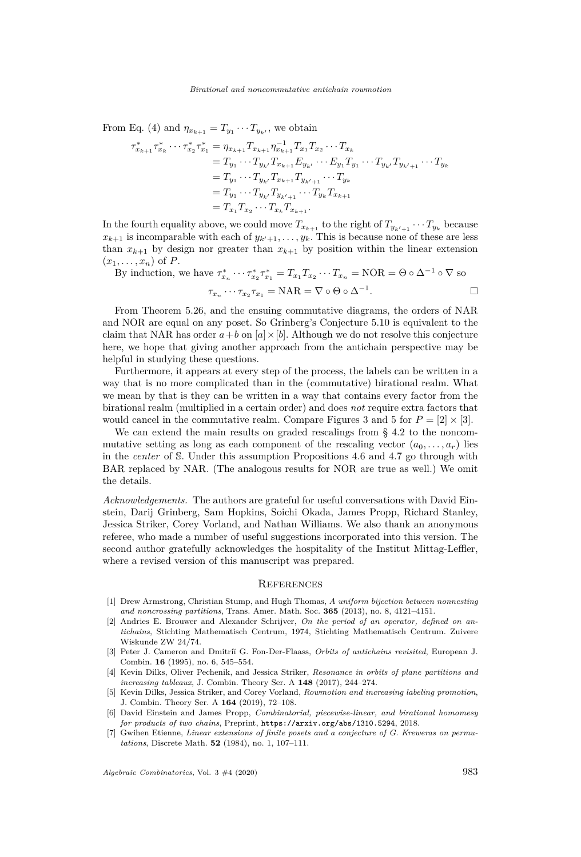From Eq. [\(4\)](#page-28-1) and  $\eta_{x_{k+1}} = T_{y_1} \cdots T_{y_{k'}}$ , we obtain

$$
\tau_{x_{k+1}}^* \tau_{x_k}^* \cdots \tau_{x_2}^* \tau_{x_1}^* = \eta_{x_{k+1}} T_{x_{k+1}} \eta_{x_{k+1}}^{-1} T_{x_1} T_{x_2} \cdots T_{x_k}
$$
  
\n
$$
= T_{y_1} \cdots T_{y_{k'}} T_{x_{k+1}} E_{y_{k'}} \cdots E_{y_1} T_{y_1} \cdots T_{y_{k'}} T_{y_{k'+1}} \cdots T_{y_k}
$$
  
\n
$$
= T_{y_1} \cdots T_{y_{k'}} T_{x_{k+1}} T_{y_{k'+1}} \cdots T_{y_k}
$$
  
\n
$$
= T_{y_1} \cdots T_{y_{k'}} T_{y_{k'+1}} \cdots T_{y_k} T_{x_{k+1}}
$$
  
\n
$$
= T_{x_1} T_{x_2} \cdots T_{x_k} T_{x_{k+1}}.
$$

In the fourth equality above, we could move  $T_{x_{k+1}}$  to the right of  $T_{y_{k'+1}} \cdots T_{y_k}$  because  $x_{k+1}$  is incomparable with each of  $y_{k'+1}, \ldots, y_k$ . This is because none of these are less than  $x_{k+1}$  by design nor greater than  $x_{k+1}$  by position within the linear extension  $(x_1, \ldots, x_n)$  of *P*.

By induction, we have  $\tau_{x_n}^* \cdots \tau_{x_2}^* \tau_{x_1}^* = T_{x_1} T_{x_2} \cdots T_{x_n} = \text{NOR} = \Theta \circ \Delta^{-1} \circ \nabla$  so *τ*<sub>*x*</sub></sup> $r_1 \cdots r_{x_2} r_{x_1} = \text{NAR} = \nabla \circ \Theta \circ \Delta^{-1}$ *.*

From Theorem [5.26,](#page-28-0) and the ensuing commutative diagrams, the orders of NAR and NOR are equal on any poset. So Grinberg's Conjecture [5.10](#page-19-1) is equivalent to the claim that NAR has order  $a + b$  on  $[a] \times [b]$ . Although we do not resolve this conjecture here, we hope that giving another approach from the antichain perspective may be helpful in studying these questions.

Furthermore, it appears at every step of the process, the labels can be written in a way that is no more complicated than in the (commutative) birational realm. What we mean by that is they can be written in a way that contains every factor from the birational realm (multiplied in a certain order) and does *not* require extra factors that would cancel in the commutative realm. Compare Figures [3](#page-13-0) and [5](#page-22-0) for  $P = [2] \times [3]$ .

We can extend the main results on graded rescalings from § [4.2](#page-16-0) to the noncommutative setting as long as each component of the rescaling vector  $(a_0, \ldots, a_r)$  lies in the *center* of S. Under this assumption Propositions [4.6](#page-16-1) and [4.7](#page-16-2) go through with BAR replaced by NAR. (The analogous results for NOR are true as well.) We omit the details.

*Acknowledgements.* The authors are grateful for useful conversations with David Einstein, Darij Grinberg, Sam Hopkins, Soichi Okada, James Propp, Richard Stanley, Jessica Striker, Corey Vorland, and Nathan Williams. We also thank an anonymous referee, who made a number of useful suggestions incorporated into this version. The second author gratefully acknowledges the hospitality of the Institut Mittag-Leffler, where a revised version of this manuscript was prepared.

### **REFERENCES**

- <span id="page-29-1"></span>[1] Drew Armstrong, Christian Stump, and Hugh Thomas, *A uniform bijection between nonnesting and noncrossing partitions*, Trans. Amer. Math. Soc. **365** (2013), no. 8, 4121–4151.
- <span id="page-29-0"></span>[2] Andries E. Brouwer and Alexander Schrijver, *On the period of an operator, defined on antichains*, Stichting Mathematisch Centrum, 1974, Stichting Mathematisch Centrum. Zuivere Wiskunde ZW 24/74.
- <span id="page-29-5"></span>[3] Peter J. Cameron and Dmitri˘ı G. Fon-Der-Flaass, *Orbits of antichains revisited*, European J. Combin. **16** (1995), no. 6, 545–554.
- <span id="page-29-2"></span>[4] Kevin Dilks, Oliver Pechenik, and Jessica Striker, *Resonance in orbits of plane partitions and increasing tableaux*, J. Combin. Theory Ser. A **148** (2017), 244–274.
- <span id="page-29-3"></span>[5] Kevin Dilks, Jessica Striker, and Corey Vorland, *Rowmotion and increasing labeling promotion*, J. Combin. Theory Ser. A **164** (2019), 72–108.
- <span id="page-29-4"></span>[6] David Einstein and James Propp, *Combinatorial, piecewise-linear, and birational homomesy for products of two chains*, Preprint, <https://arxiv.org/abs/1310.5294>, 2018.
- <span id="page-29-6"></span>[7] Gwihen Etienne, *Linear extensions of finite posets and a conjecture of G. Kreweras on permutations*, Discrete Math. **52** (1984), no. 1, 107–111.